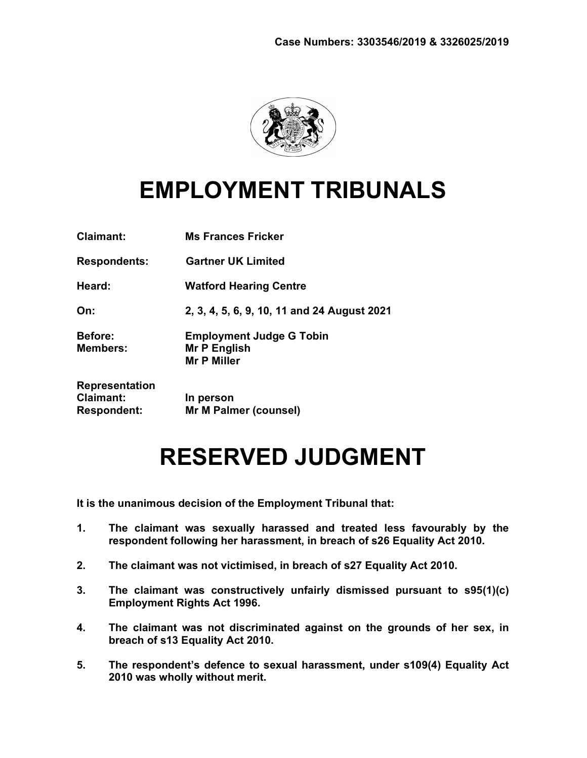

# EMPLOYMENT TRIBUNALS

| <b>Claimant:</b>                                         | <b>Ms Frances Fricker</b>                                             |
|----------------------------------------------------------|-----------------------------------------------------------------------|
| <b>Respondents:</b>                                      | <b>Gartner UK Limited</b>                                             |
| Heard:                                                   | <b>Watford Hearing Centre</b>                                         |
| On:                                                      | 2, 3, 4, 5, 6, 9, 10, 11 and 24 August 2021                           |
| <b>Before:</b><br><b>Members:</b>                        | <b>Employment Judge G Tobin</b><br>Mr P English<br><b>Mr P Miller</b> |
| Representation<br><b>Claimant:</b><br><b>Respondent:</b> | In person<br>Mr M Palmer (counsel)                                    |

# RESERVED JUDGMENT

It is the unanimous decision of the Employment Tribunal that:

- 1. The claimant was sexually harassed and treated less favourably by the respondent following her harassment, in breach of s26 Equality Act 2010.
- 2. The claimant was not victimised, in breach of s27 Equality Act 2010.
- 3. The claimant was constructively unfairly dismissed pursuant to s95(1)(c) Employment Rights Act 1996.
- 4. The claimant was not discriminated against on the grounds of her sex, in breach of s13 Equality Act 2010.
- 5. The respondent's defence to sexual harassment, under s109(4) Equality Act 2010 was wholly without merit.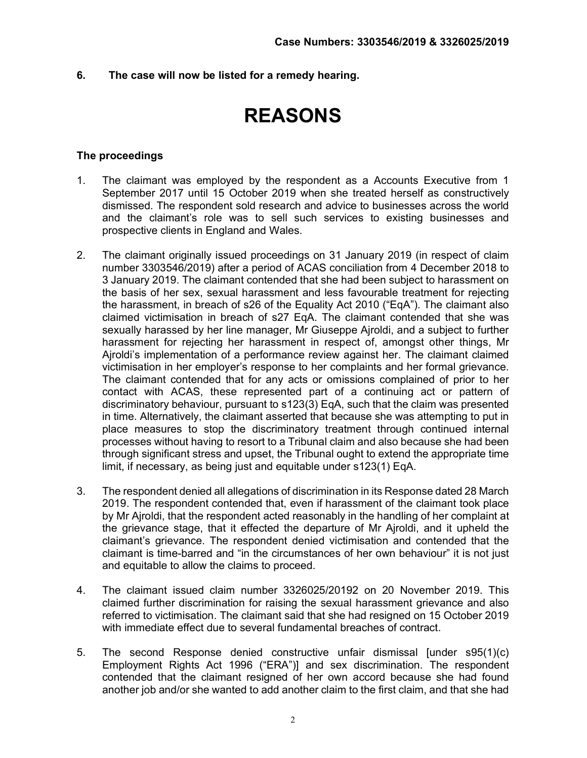6. The case will now be listed for a remedy hearing.

# REASONS

# The proceedings

- 1. The claimant was employed by the respondent as a Accounts Executive from 1 September 2017 until 15 October 2019 when she treated herself as constructively dismissed. The respondent sold research and advice to businesses across the world and the claimant's role was to sell such services to existing businesses and prospective clients in England and Wales.
- 2. The claimant originally issued proceedings on 31 January 2019 (in respect of claim number 3303546/2019) after a period of ACAS conciliation from 4 December 2018 to 3 January 2019. The claimant contended that she had been subject to harassment on the basis of her sex, sexual harassment and less favourable treatment for rejecting the harassment, in breach of s26 of the Equality Act 2010 ("EqA"). The claimant also claimed victimisation in breach of s27 EqA. The claimant contended that she was sexually harassed by her line manager, Mr Giuseppe Ajroldi, and a subject to further harassment for rejecting her harassment in respect of, amongst other things, Mr Ajroldi's implementation of a performance review against her. The claimant claimed victimisation in her employer's response to her complaints and her formal grievance. The claimant contended that for any acts or omissions complained of prior to her contact with ACAS, these represented part of a continuing act or pattern of discriminatory behaviour, pursuant to s123(3) EqA, such that the claim was presented in time. Alternatively, the claimant asserted that because she was attempting to put in place measures to stop the discriminatory treatment through continued internal processes without having to resort to a Tribunal claim and also because she had been through significant stress and upset, the Tribunal ought to extend the appropriate time limit, if necessary, as being just and equitable under s123(1) EqA.
- 3. The respondent denied all allegations of discrimination in its Response dated 28 March 2019. The respondent contended that, even if harassment of the claimant took place by Mr Ajroldi, that the respondent acted reasonably in the handling of her complaint at the grievance stage, that it effected the departure of Mr Ajroldi, and it upheld the claimant's grievance. The respondent denied victimisation and contended that the claimant is time-barred and "in the circumstances of her own behaviour" it is not just and equitable to allow the claims to proceed.
- 4. The claimant issued claim number 3326025/20192 on 20 November 2019. This claimed further discrimination for raising the sexual harassment grievance and also referred to victimisation. The claimant said that she had resigned on 15 October 2019 with immediate effect due to several fundamental breaches of contract.
- 5. The second Response denied constructive unfair dismissal [under s95(1)(c) Employment Rights Act 1996 ("ERA")] and sex discrimination. The respondent contended that the claimant resigned of her own accord because she had found another job and/or she wanted to add another claim to the first claim, and that she had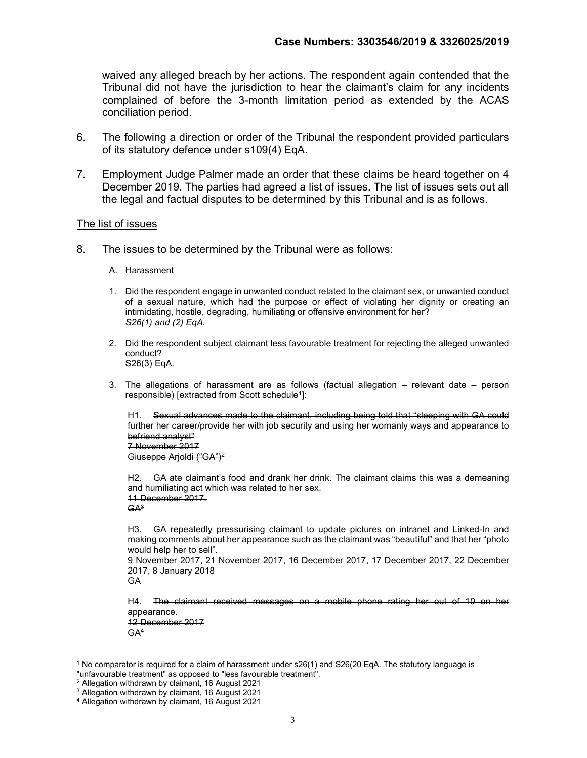waived any alleged breach by her actions. The respondent again contended that the Tribunal did not have the jurisdiction to hear the claimant's claim for any incidents complained of before the 3-month limitation period as extended by the ACAS conciliation period.

- 6. The following a direction or order of the Tribunal the respondent provided particulars of its statutory defence under s109(4) EqA.
- 7. Employment Judge Palmer made an order that these claims be heard together on 4 December 2019. The parties had agreed a list of issues. The list of issues sets out all the legal and factual disputes to be determined by this Tribunal and is as follows.

#### The list of issues

- 8. The issues to be determined by the Tribunal were as follows:
	- A. Harassment
	- 1. Did the respondent engage in unwanted conduct related to the claimant sex, or unwanted conduct of a sexual nature, which had the purpose or effect of violating her dignity or creating an intimidating, hostile, degrading, humiliating or offensive environment for her? S26(1) and (2) EqA.
	- 2. Did the respondent subject claimant less favourable treatment for rejecting the alleged unwanted conduct? S26(3) EqA.
	- 3. The allegations of harassment are as follows (factual allegation relevant date person responsible) [extracted from Scott schedule<sup>1</sup>]:

H1. Sexual advances made to the claimant, including being told that "sleeping with GA could further her career/provide her with job security and using her womanly ways and appearance to befriend analyst" 7 November 2017

Giuseppe Arjoldi ("GA")<sup>2</sup>

H2. GA ate claimant's food and drank her drink. The claimant claims this was a demeaning and humiliating act which was related to her sex. 11 December 2017.  $GA<sup>3</sup>$ 

H3. GA repeatedly pressurising claimant to update pictures on intranet and Linked-In and making comments about her appearance such as the claimant was "beautiful" and that her "photo would help her to sell".

9 November 2017, 21 November 2017, 16 December 2017, 17 December 2017, 22 December 2017, 8 January 2018

GA

H4. The claimant received messages on a mobile phone rating her out of 10 on her appearance. 12 December 2017

 $GA<sup>4</sup>$ 

 $^1$  No comparator is required for a claim of harassment under s26(1) and S26(20 EqA. The statutory language is "unfavourable treatment" as opposed to "less favourable treatment".

<sup>2</sup> Allegation withdrawn by claimant, 16 August 2021

<sup>3</sup> Allegation withdrawn by claimant, 16 August 2021

<sup>4</sup> Allegation withdrawn by claimant, 16 August 2021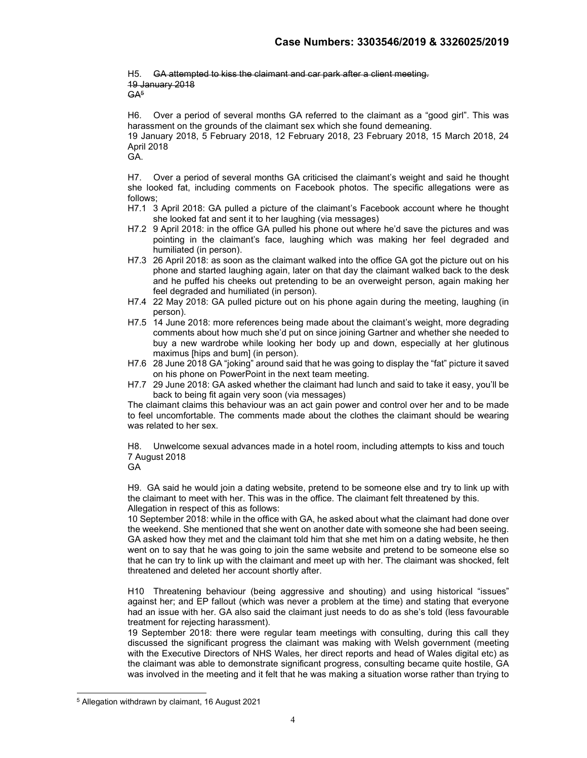H5. GA attempted to kiss the claimant and car park after a client meeting. 19 January 2018  $GA<sup>5</sup>$ 

H6. Over a period of several months GA referred to the claimant as a "good girl". This was harassment on the grounds of the claimant sex which she found demeaning.

19 January 2018, 5 February 2018, 12 February 2018, 23 February 2018, 15 March 2018, 24 April 2018

GA.

H7. Over a period of several months GA criticised the claimant's weight and said he thought she looked fat, including comments on Facebook photos. The specific allegations were as follows;

H7.1 3 April 2018: GA pulled a picture of the claimant's Facebook account where he thought she looked fat and sent it to her laughing (via messages)

- H7.2 9 April 2018: in the office GA pulled his phone out where he'd save the pictures and was pointing in the claimant's face, laughing which was making her feel degraded and humiliated (in person).
- H7.3 26 April 2018: as soon as the claimant walked into the office GA got the picture out on his phone and started laughing again, later on that day the claimant walked back to the desk and he puffed his cheeks out pretending to be an overweight person, again making her feel degraded and humiliated (in person).
- H7.4 22 May 2018: GA pulled picture out on his phone again during the meeting, laughing (in person).
- H7.5 14 June 2018: more references being made about the claimant's weight, more degrading comments about how much she'd put on since joining Gartner and whether she needed to buy a new wardrobe while looking her body up and down, especially at her glutinous maximus [hips and bum] (in person).
- H7.6 28 June 2018 GA "joking" around said that he was going to display the "fat" picture it saved on his phone on PowerPoint in the next team meeting.
- H7.7 29 June 2018: GA asked whether the claimant had lunch and said to take it easy, you'll be back to being fit again very soon (via messages)

The claimant claims this behaviour was an act gain power and control over her and to be made to feel uncomfortable. The comments made about the clothes the claimant should be wearing was related to her sex.

H8. Unwelcome sexual advances made in a hotel room, including attempts to kiss and touch 7 August 2018

GA

H9. GA said he would join a dating website, pretend to be someone else and try to link up with the claimant to meet with her. This was in the office. The claimant felt threatened by this. Allegation in respect of this as follows:

10 September 2018: while in the office with GA, he asked about what the claimant had done over the weekend. She mentioned that she went on another date with someone she had been seeing. GA asked how they met and the claimant told him that she met him on a dating website, he then went on to say that he was going to join the same website and pretend to be someone else so that he can try to link up with the claimant and meet up with her. The claimant was shocked, felt threatened and deleted her account shortly after.

H10 Threatening behaviour (being aggressive and shouting) and using historical "issues" against her; and EP fallout (which was never a problem at the time) and stating that everyone had an issue with her. GA also said the claimant just needs to do as she's told (less favourable treatment for rejecting harassment).

19 September 2018: there were regular team meetings with consulting, during this call they discussed the significant progress the claimant was making with Welsh government (meeting with the Executive Directors of NHS Wales, her direct reports and head of Wales digital etc) as the claimant was able to demonstrate significant progress, consulting became quite hostile, GA was involved in the meeting and it felt that he was making a situation worse rather than trying to

<sup>5</sup> Allegation withdrawn by claimant, 16 August 2021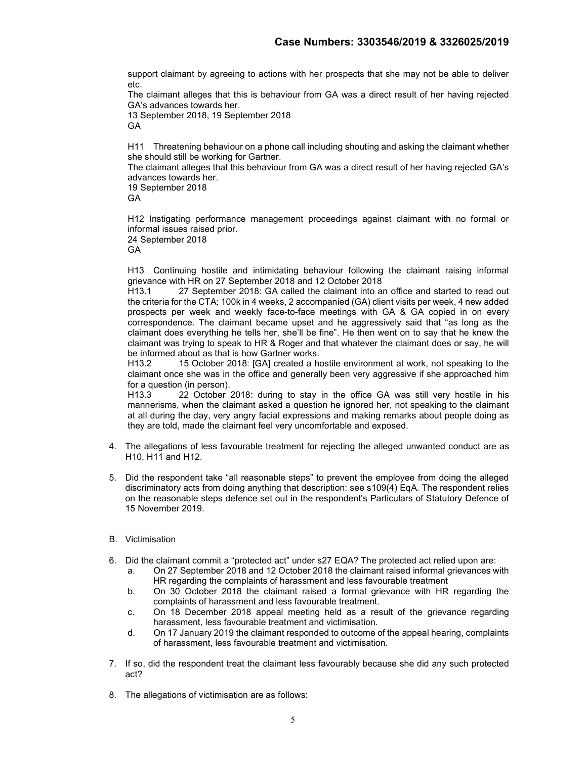support claimant by agreeing to actions with her prospects that she may not be able to deliver etc.

The claimant alleges that this is behaviour from GA was a direct result of her having rejected GA's advances towards her.

13 September 2018, 19 September 2018 GA

H11 Threatening behaviour on a phone call including shouting and asking the claimant whether she should still be working for Gartner.

The claimant alleges that this behaviour from GA was a direct result of her having rejected GA's advances towards her.

19 September 2018

GA

H12 Instigating performance management proceedings against claimant with no formal or informal issues raised prior.

24 September 2018

GA

H13 Continuing hostile and intimidating behaviour following the claimant raising informal grievance with HR on 27 September 2018 and 12 October 2018

H13.1 27 September 2018: GA called the claimant into an office and started to read out the criteria for the CTA; 100k in 4 weeks, 2 accompanied (GA) client visits per week, 4 new added prospects per week and weekly face-to-face meetings with GA & GA copied in on every correspondence. The claimant became upset and he aggressively said that "as long as the claimant does everything he tells her, she'll be fine". He then went on to say that he knew the claimant was trying to speak to HR & Roger and that whatever the claimant does or say, he will be informed about as that is how Gartner works.

H13.2 15 October 2018: [GA] created a hostile environment at work, not speaking to the claimant once she was in the office and generally been very aggressive if she approached him for a question (in person).

H13.3 22 October 2018: during to stay in the office GA was still very hostile in his mannerisms, when the claimant asked a question he ignored her, not speaking to the claimant at all during the day, very angry facial expressions and making remarks about people doing as they are told, made the claimant feel very uncomfortable and exposed.

- 4. The allegations of less favourable treatment for rejecting the alleged unwanted conduct are as H10, H11 and H12.
- 5. Did the respondent take "all reasonable steps" to prevent the employee from doing the alleged discriminatory acts from doing anything that description: see s109(4) EqA. The respondent relies on the reasonable steps defence set out in the respondent's Particulars of Statutory Defence of 15 November 2019.
- B. Victimisation
- 6. Did the claimant commit a "protected act" under s27 EQA? The protected act relied upon are:
	- a. On 27 September 2018 and 12 October 2018 the claimant raised informal grievances with HR regarding the complaints of harassment and less favourable treatment
	- b. On 30 October 2018 the claimant raised a formal grievance with HR regarding the complaints of harassment and less favourable treatment.
	- c. On 18 December 2018 appeal meeting held as a result of the grievance regarding harassment, less favourable treatment and victimisation.
	- d. On 17 January 2019 the claimant responded to outcome of the appeal hearing, complaints of harassment, less favourable treatment and victimisation.
- 7. If so, did the respondent treat the claimant less favourably because she did any such protected act?
- 8. The allegations of victimisation are as follows: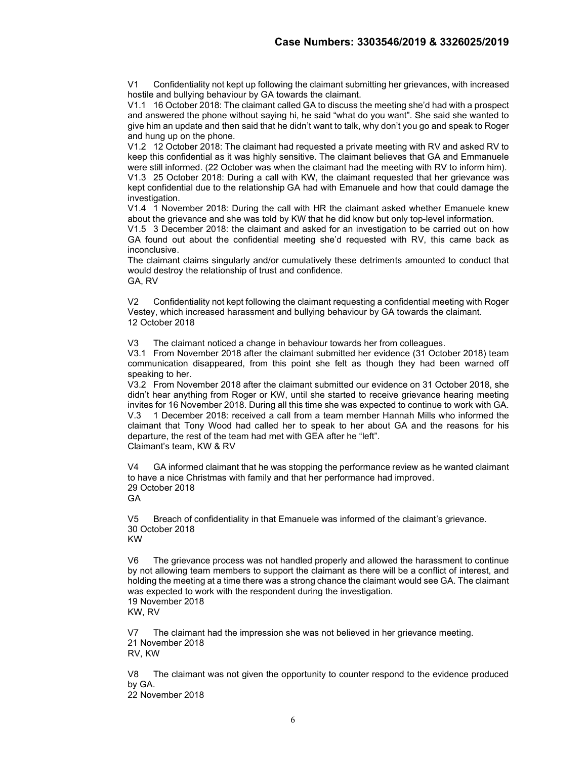V1 Confidentiality not kept up following the claimant submitting her grievances, with increased hostile and bullying behaviour by GA towards the claimant.

V1.1 16 October 2018: The claimant called GA to discuss the meeting she'd had with a prospect and answered the phone without saying hi, he said "what do you want". She said she wanted to give him an update and then said that he didn't want to talk, why don't you go and speak to Roger and hung up on the phone.

V1.2 12 October 2018: The claimant had requested a private meeting with RV and asked RV to keep this confidential as it was highly sensitive. The claimant believes that GA and Emmanuele were still informed. (22 October was when the claimant had the meeting with RV to inform him).

V1.3 25 October 2018: During a call with KW, the claimant requested that her grievance was kept confidential due to the relationship GA had with Emanuele and how that could damage the investigation.

V1.4 1 November 2018: During the call with HR the claimant asked whether Emanuele knew about the grievance and she was told by KW that he did know but only top-level information.

V1.5 3 December 2018: the claimant and asked for an investigation to be carried out on how GA found out about the confidential meeting she'd requested with RV, this came back as inconclusive.

The claimant claims singularly and/or cumulatively these detriments amounted to conduct that would destroy the relationship of trust and confidence. GA, RV

V2 Confidentiality not kept following the claimant requesting a confidential meeting with Roger Vestey, which increased harassment and bullying behaviour by GA towards the claimant. 12 October 2018

V3 The claimant noticed a change in behaviour towards her from colleagues.

V3.1 From November 2018 after the claimant submitted her evidence (31 October 2018) team communication disappeared, from this point she felt as though they had been warned off speaking to her.

V3.2 From November 2018 after the claimant submitted our evidence on 31 October 2018, she didn't hear anything from Roger or KW, until she started to receive grievance hearing meeting invites for 16 November 2018. During all this time she was expected to continue to work with GA. V.3 1 December 2018: received a call from a team member Hannah Mills who informed the claimant that Tony Wood had called her to speak to her about GA and the reasons for his departure, the rest of the team had met with GEA after he "left". Claimant's team, KW & RV

V4 GA informed claimant that he was stopping the performance review as he wanted claimant to have a nice Christmas with family and that her performance had improved. 29 October 2018 **GA** 

V5 Breach of confidentiality in that Emanuele was informed of the claimant's grievance. 30 October 2018 KW

V6 The grievance process was not handled properly and allowed the harassment to continue by not allowing team members to support the claimant as there will be a conflict of interest, and holding the meeting at a time there was a strong chance the claimant would see GA. The claimant was expected to work with the respondent during the investigation. 19 November 2018 KW, RV

V7 The claimant had the impression she was not believed in her grievance meeting. 21 November 2018 RV, KW

V8 The claimant was not given the opportunity to counter respond to the evidence produced by GA.

22 November 2018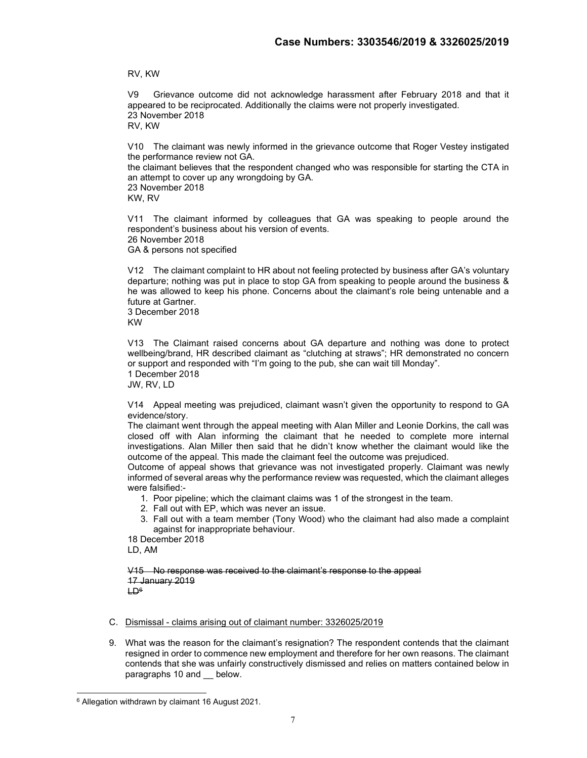RV, KW

V9 Grievance outcome did not acknowledge harassment after February 2018 and that it appeared to be reciprocated. Additionally the claims were not properly investigated. 23 November 2018 RV, KW

V10 The claimant was newly informed in the grievance outcome that Roger Vestey instigated the performance review not GA.

the claimant believes that the respondent changed who was responsible for starting the CTA in an attempt to cover up any wrongdoing by GA. 23 November 2018 KW, RV

V11 The claimant informed by colleagues that GA was speaking to people around the respondent's business about his version of events. 26 November 2018 GA & persons not specified

V12 The claimant complaint to HR about not feeling protected by business after GA's voluntary departure; nothing was put in place to stop GA from speaking to people around the business & he was allowed to keep his phone. Concerns about the claimant's role being untenable and a future at Gartner. 3 December 2018

KW

V13 The Claimant raised concerns about GA departure and nothing was done to protect wellbeing/brand, HR described claimant as "clutching at straws"; HR demonstrated no concern or support and responded with "I'm going to the pub, she can wait till Monday". 1 December 2018

JW, RV, LD

V14 Appeal meeting was prejudiced, claimant wasn't given the opportunity to respond to GA evidence/story.

The claimant went through the appeal meeting with Alan Miller and Leonie Dorkins, the call was closed off with Alan informing the claimant that he needed to complete more internal investigations. Alan Miller then said that he didn't know whether the claimant would like the outcome of the appeal. This made the claimant feel the outcome was prejudiced.

Outcome of appeal shows that grievance was not investigated properly. Claimant was newly informed of several areas why the performance review was requested, which the claimant alleges were falsified:-

- 1. Poor pipeline; which the claimant claims was 1 of the strongest in the team.
- 2. Fall out with EP, which was never an issue.
- 3. Fall out with a team member (Tony Wood) who the claimant had also made a complaint against for inappropriate behaviour.

18 December 2018

LD, AM

V15 No response was received to the claimant's response to the appeal 17 January 2019  $H\rightarrow$ 

C. Dismissal - claims arising out of claimant number: 3326025/2019

9. What was the reason for the claimant's resignation? The respondent contends that the claimant resigned in order to commence new employment and therefore for her own reasons. The claimant contends that she was unfairly constructively dismissed and relies on matters contained below in paragraphs 10 and \_\_ below.

<sup>6</sup> Allegation withdrawn by claimant 16 August 2021.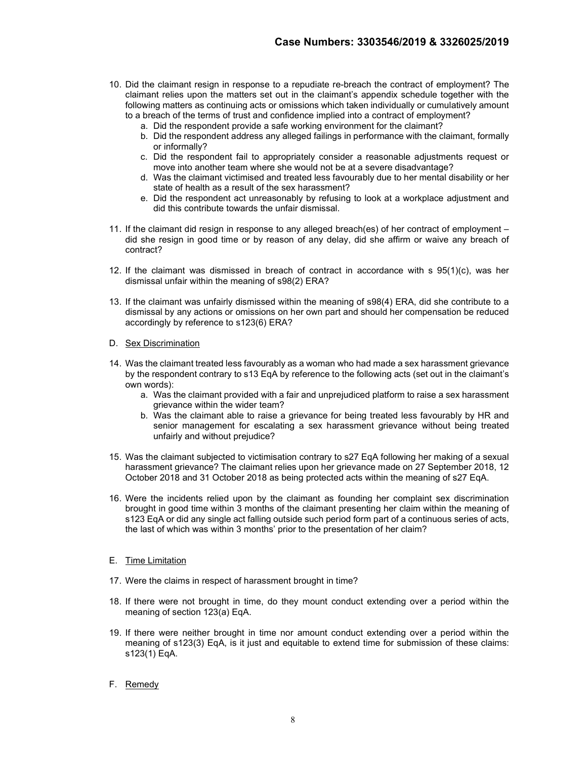- 10. Did the claimant resign in response to a repudiate re-breach the contract of employment? The claimant relies upon the matters set out in the claimant's appendix schedule together with the following matters as continuing acts or omissions which taken individually or cumulatively amount to a breach of the terms of trust and confidence implied into a contract of employment?
	- a. Did the respondent provide a safe working environment for the claimant?
	- b. Did the respondent address any alleged failings in performance with the claimant, formally or informally?
	- c. Did the respondent fail to appropriately consider a reasonable adjustments request or move into another team where she would not be at a severe disadvantage?
	- d. Was the claimant victimised and treated less favourably due to her mental disability or her state of health as a result of the sex harassment?
	- e. Did the respondent act unreasonably by refusing to look at a workplace adjustment and did this contribute towards the unfair dismissal.
- 11. If the claimant did resign in response to any alleged breach(es) of her contract of employment did she resign in good time or by reason of any delay, did she affirm or waive any breach of contract?
- 12. If the claimant was dismissed in breach of contract in accordance with s 95(1)(c), was her dismissal unfair within the meaning of s98(2) ERA?
- 13. If the claimant was unfairly dismissed within the meaning of s98(4) ERA, did she contribute to a dismissal by any actions or omissions on her own part and should her compensation be reduced accordingly by reference to s123(6) ERA?
- D. Sex Discrimination
- 14. Was the claimant treated less favourably as a woman who had made a sex harassment grievance by the respondent contrary to s13 EqA by reference to the following acts (set out in the claimant's own words):
	- a. Was the claimant provided with a fair and unprejudiced platform to raise a sex harassment grievance within the wider team?
	- b. Was the claimant able to raise a grievance for being treated less favourably by HR and senior management for escalating a sex harassment grievance without being treated unfairly and without prejudice?
- 15. Was the claimant subjected to victimisation contrary to s27 EqA following her making of a sexual harassment grievance? The claimant relies upon her grievance made on 27 September 2018, 12 October 2018 and 31 October 2018 as being protected acts within the meaning of s27 EqA.
- 16. Were the incidents relied upon by the claimant as founding her complaint sex discrimination brought in good time within 3 months of the claimant presenting her claim within the meaning of s123 EqA or did any single act falling outside such period form part of a continuous series of acts, the last of which was within 3 months' prior to the presentation of her claim?
- E. Time Limitation
- 17. Were the claims in respect of harassment brought in time?
- 18. If there were not brought in time, do they mount conduct extending over a period within the meaning of section 123(a) EqA.
- 19. If there were neither brought in time nor amount conduct extending over a period within the meaning of s123(3) EqA, is it just and equitable to extend time for submission of these claims: s123(1) EqA.
- F. Remedy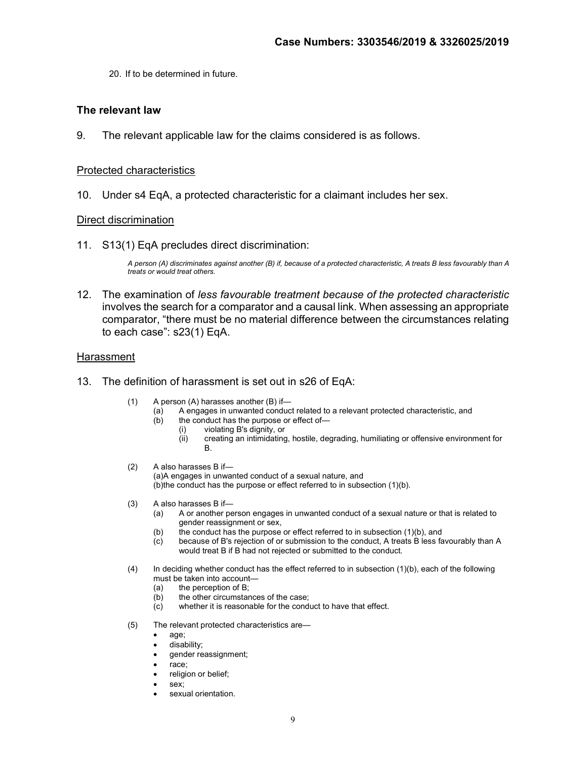20. If to be determined in future.

## The relevant law

9. The relevant applicable law for the claims considered is as follows.

#### Protected characteristics

10. Under s4 EqA, a protected characteristic for a claimant includes her sex.

#### Direct discrimination

11. S13(1) EqA precludes direct discrimination:

A person (A) discriminates against another (B) if, because of a protected characteristic, A treats B less favourably than A treats or would treat others.

12. The examination of less favourable treatment because of the protected characteristic involves the search for a comparator and a causal link. When assessing an appropriate comparator, "there must be no material difference between the circumstances relating to each case": s23(1) EqA.

#### **Harassment**

- 13. The definition of harassment is set out in s26 of EqA:
	- (1) A person (A) harasses another (B) if—
		- (a) A engages in unwanted conduct related to a relevant protected characteristic, and <br>(b) the conduct has the purpose or effect of
			- the conduct has the purpose or effect of-
				- (i) violating B's dignity, or
				- (ii) creating an intimidating, hostile, degrading, humiliating or offensive environment for B.
	- (2) A also harasses B if— (a)A engages in unwanted conduct of a sexual nature, and (b)the conduct has the purpose or effect referred to in subsection (1)(b).
	- (3) A also harasses B if—
		- (a) A or another person engages in unwanted conduct of a sexual nature or that is related to gender reassignment or sex,
		- (b) the conduct has the purpose or effect referred to in subsection (1)(b), and
		- (c) because of B's rejection of or submission to the conduct, A treats B less favourably than A would treat B if B had not rejected or submitted to the conduct.
	- (4) In deciding whether conduct has the effect referred to in subsection (1)(b), each of the following must be taken into account—
		- (a) the perception of B;
		- (b) the other circumstances of the case;
		- (c) whether it is reasonable for the conduct to have that effect.
	- (5) The relevant protected characteristics are
		- age;
		- disability;
		- gender reassignment;
		- race;
		- religion or belief;
		- sex;
		- sexual orientation.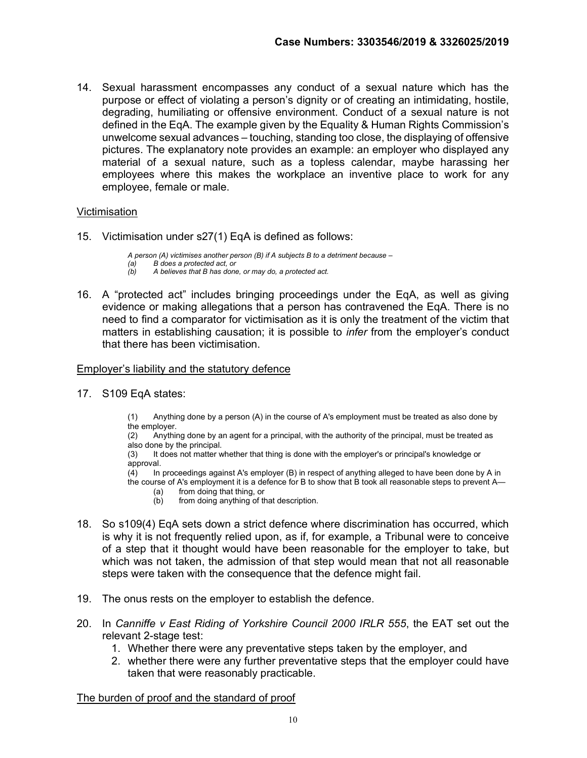14. Sexual harassment encompasses any conduct of a sexual nature which has the purpose or effect of violating a person's dignity or of creating an intimidating, hostile, degrading, humiliating or offensive environment. Conduct of a sexual nature is not defined in the EqA. The example given by the Equality & Human Rights Commission's unwelcome sexual advances – touching, standing too close, the displaying of offensive pictures. The explanatory note provides an example: an employer who displayed any material of a sexual nature, such as a topless calendar, maybe harassing her employees where this makes the workplace an inventive place to work for any employee, female or male.

#### Victimisation

15. Victimisation under s27(1) EqA is defined as follows:

A person (A) victimises another person (B) if A subjects B to a detriment because  $-$ (a) B does a protected act, or (b) A believes that B has done, or may do, a protected act.

16. A "protected act" includes bringing proceedings under the EqA, as well as giving evidence or making allegations that a person has contravened the EqA. There is no need to find a comparator for victimisation as it is only the treatment of the victim that matters in establishing causation; it is possible to *infer* from the employer's conduct that there has been victimisation.

#### Employer's liability and the statutory defence

17. S109 EqA states:

(1) Anything done by a person (A) in the course of A's employment must be treated as also done by the employer.

(2) Anything done by an agent for a principal, with the authority of the principal, must be treated as also done by the principal.

(3) It does not matter whether that thing is done with the employer's or principal's knowledge or approval.

(4) In proceedings against A's employer (B) in respect of anything alleged to have been done by A in the course of A's employment it is a defence for B to show that B took all reasonable steps to prevent A—

- (a) from doing that thing, or
- (b) from doing anything of that description.
- 18. So s109(4) EqA sets down a strict defence where discrimination has occurred, which is why it is not frequently relied upon, as if, for example, a Tribunal were to conceive of a step that it thought would have been reasonable for the employer to take, but which was not taken, the admission of that step would mean that not all reasonable steps were taken with the consequence that the defence might fail.
- 19. The onus rests on the employer to establish the defence.
- 20. In Canniffe v East Riding of Yorkshire Council 2000 IRLR 555, the EAT set out the relevant 2-stage test:
	- 1. Whether there were any preventative steps taken by the employer, and
	- 2. whether there were any further preventative steps that the employer could have taken that were reasonably practicable.

The burden of proof and the standard of proof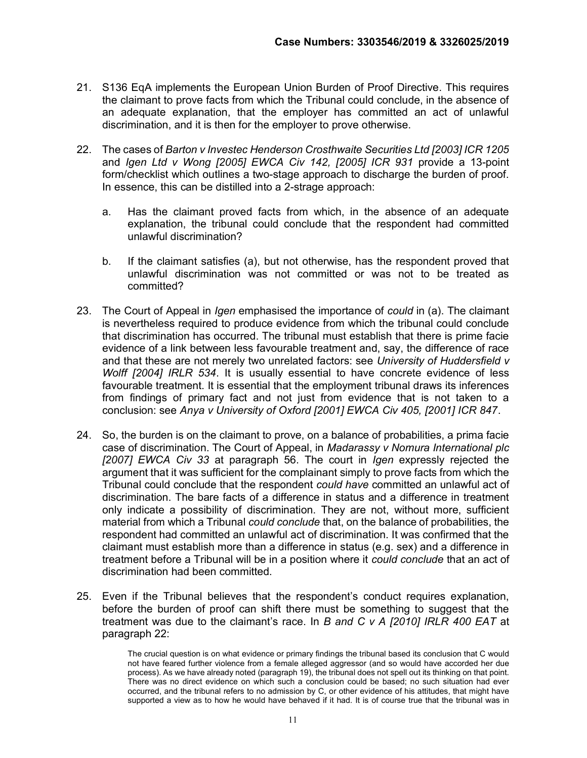- 21. S136 EqA implements the European Union Burden of Proof Directive. This requires the claimant to prove facts from which the Tribunal could conclude, in the absence of an adequate explanation, that the employer has committed an act of unlawful discrimination, and it is then for the employer to prove otherwise.
- 22. The cases of Barton v Investec Henderson Crosthwaite Securities Ltd [2003] ICR 1205 and Igen Ltd v Wong [2005] EWCA Civ 142, [2005] ICR 931 provide a 13-point form/checklist which outlines a two-stage approach to discharge the burden of proof. In essence, this can be distilled into a 2-strage approach:
	- a. Has the claimant proved facts from which, in the absence of an adequate explanation, the tribunal could conclude that the respondent had committed unlawful discrimination?
	- b. If the claimant satisfies (a), but not otherwise, has the respondent proved that unlawful discrimination was not committed or was not to be treated as committed?
- 23. The Court of Appeal in *Igen* emphasised the importance of *could* in (a). The claimant is nevertheless required to produce evidence from which the tribunal could conclude that discrimination has occurred. The tribunal must establish that there is prime facie evidence of a link between less favourable treatment and, say, the difference of race and that these are not merely two unrelated factors: see University of Huddersfield v Wolff [2004] IRLR 534. It is usually essential to have concrete evidence of less favourable treatment. It is essential that the employment tribunal draws its inferences from findings of primary fact and not just from evidence that is not taken to a conclusion: see Anya v University of Oxford [2001] EWCA Civ 405, [2001] ICR 847.
- 24. So, the burden is on the claimant to prove, on a balance of probabilities, a prima facie case of discrimination. The Court of Appeal, in Madarassy v Nomura International plc [2007] EWCA Civ 33 at paragraph 56. The court in Igen expressly rejected the argument that it was sufficient for the complainant simply to prove facts from which the Tribunal could conclude that the respondent could have committed an unlawful act of discrimination. The bare facts of a difference in status and a difference in treatment only indicate a possibility of discrimination. They are not, without more, sufficient material from which a Tribunal *could conclude* that, on the balance of probabilities, the respondent had committed an unlawful act of discrimination. It was confirmed that the claimant must establish more than a difference in status (e.g. sex) and a difference in treatment before a Tribunal will be in a position where it could conclude that an act of discrimination had been committed.
- 25. Even if the Tribunal believes that the respondent's conduct requires explanation, before the burden of proof can shift there must be something to suggest that the treatment was due to the claimant's race. In B and C v A [2010] IRLR 400 EAT at paragraph 22:

The crucial question is on what evidence or primary findings the tribunal based its conclusion that C would not have feared further violence from a female alleged aggressor (and so would have accorded her due process). As we have already noted (paragraph 19), the tribunal does not spell out its thinking on that point. There was no direct evidence on which such a conclusion could be based; no such situation had ever occurred, and the tribunal refers to no admission by C, or other evidence of his attitudes, that might have supported a view as to how he would have behaved if it had. It is of course true that the tribunal was in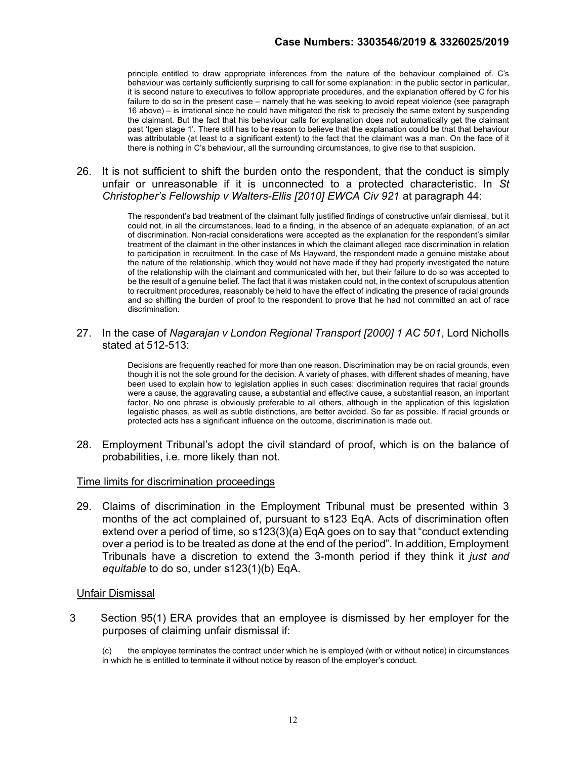principle entitled to draw appropriate inferences from the nature of the behaviour complained of. C's behaviour was certainly sufficiently surprising to call for some explanation: in the public sector in particular, it is second nature to executives to follow appropriate procedures, and the explanation offered by C for his failure to do so in the present case – namely that he was seeking to avoid repeat violence (see paragraph 16 above) – is irrational since he could have mitigated the risk to precisely the same extent by suspending the claimant. But the fact that his behaviour calls for explanation does not automatically get the claimant past 'Igen stage 1'. There still has to be reason to believe that the explanation could be that that behaviour was attributable (at least to a significant extent) to the fact that the claimant was a man. On the face of it there is nothing in C's behaviour, all the surrounding circumstances, to give rise to that suspicion.

## 26. It is not sufficient to shift the burden onto the respondent, that the conduct is simply unfair or unreasonable if it is unconnected to a protected characteristic. In St Christopher's Fellowship v Walters-Ellis [2010] EWCA Civ 921 at paragraph 44:

The respondent's bad treatment of the claimant fully justified findings of constructive unfair dismissal, but it could not, in all the circumstances, lead to a finding, in the absence of an adequate explanation, of an act of discrimination. Non-racial considerations were accepted as the explanation for the respondent's similar treatment of the claimant in the other instances in which the claimant alleged race discrimination in relation to participation in recruitment. In the case of Ms Hayward, the respondent made a genuine mistake about the nature of the relationship, which they would not have made if they had properly investigated the nature of the relationship with the claimant and communicated with her, but their failure to do so was accepted to be the result of a genuine belief. The fact that it was mistaken could not, in the context of scrupulous attention to recruitment procedures, reasonably be held to have the effect of indicating the presence of racial grounds and so shifting the burden of proof to the respondent to prove that he had not committed an act of race discrimination.

27. In the case of Nagarajan v London Regional Transport [2000] 1 AC 501, Lord Nicholls stated at 512-513:

> Decisions are frequently reached for more than one reason. Discrimination may be on racial grounds, even though it is not the sole ground for the decision. A variety of phases, with different shades of meaning, have been used to explain how to legislation applies in such cases: discrimination requires that racial grounds were a cause, the aggravating cause, a substantial and effective cause, a substantial reason, an important factor. No one phrase is obviously preferable to all others, although in the application of this legislation legalistic phases, as well as subtle distinctions, are better avoided. So far as possible. If racial grounds or protected acts has a significant influence on the outcome, discrimination is made out.

28. Employment Tribunal's adopt the civil standard of proof, which is on the balance of probabilities, i.e. more likely than not.

#### Time limits for discrimination proceedings

29. Claims of discrimination in the Employment Tribunal must be presented within 3 months of the act complained of, pursuant to s123 EqA. Acts of discrimination often extend over a period of time, so s123(3)(a) EqA goes on to say that "conduct extending over a period is to be treated as done at the end of the period". In addition, Employment Tribunals have a discretion to extend the 3-month period if they think it just and equitable to do so, under s123(1)(b) EqA.

#### Unfair Dismissal

3 Section 95(1) ERA provides that an employee is dismissed by her employer for the purposes of claiming unfair dismissal if:

<sup>(</sup>c) the employee terminates the contract under which he is employed (with or without notice) in circumstances in which he is entitled to terminate it without notice by reason of the employer's conduct.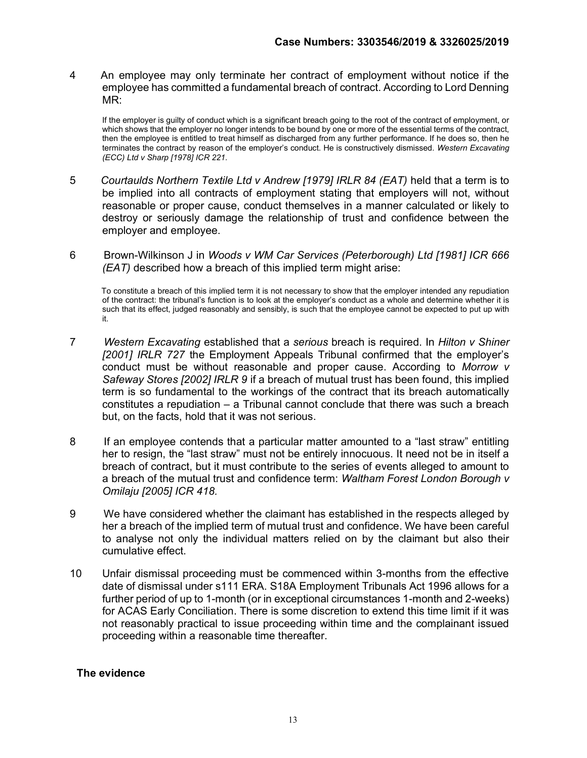4 An employee may only terminate her contract of employment without notice if the employee has committed a fundamental breach of contract. According to Lord Denning MR:

If the employer is guilty of conduct which is a significant breach going to the root of the contract of employment, or which shows that the employer no longer intends to be bound by one or more of the essential terms of the contract, then the employee is entitled to treat himself as discharged from any further performance. If he does so, then he terminates the contract by reason of the employer's conduct. He is constructively dismissed. Western Excavating (ECC) Ltd v Sharp [1978] ICR 221.

- 5 Courtaulds Northern Textile Ltd v Andrew [1979] IRLR 84 (EAT) held that a term is to be implied into all contracts of employment stating that employers will not, without reasonable or proper cause, conduct themselves in a manner calculated or likely to destroy or seriously damage the relationship of trust and confidence between the employer and employee.
- 6 Brown-Wilkinson J in Woods v WM Car Services (Peterborough) Ltd [1981] ICR 666 (EAT) described how a breach of this implied term might arise:

 To constitute a breach of this implied term it is not necessary to show that the employer intended any repudiation of the contract: the tribunal's function is to look at the employer's conduct as a whole and determine whether it is such that its effect, judged reasonably and sensibly, is such that the employee cannot be expected to put up with it.

- 7 Western Excavating established that a serious breach is required. In Hilton v Shiner [2001] IRLR 727 the Employment Appeals Tribunal confirmed that the employer's conduct must be without reasonable and proper cause. According to Morrow v Safeway Stores [2002] IRLR 9 if a breach of mutual trust has been found, this implied term is so fundamental to the workings of the contract that its breach automatically constitutes a repudiation – a Tribunal cannot conclude that there was such a breach but, on the facts, hold that it was not serious.
- 8 If an employee contends that a particular matter amounted to a "last straw" entitling her to resign, the "last straw" must not be entirely innocuous. It need not be in itself a breach of contract, but it must contribute to the series of events alleged to amount to a breach of the mutual trust and confidence term: Waltham Forest London Borough v Omilaju [2005] ICR 418.
- 9 We have considered whether the claimant has established in the respects alleged by her a breach of the implied term of mutual trust and confidence. We have been careful to analyse not only the individual matters relied on by the claimant but also their cumulative effect.
- 10 Unfair dismissal proceeding must be commenced within 3-months from the effective date of dismissal under s111 ERA. S18A Employment Tribunals Act 1996 allows for a further period of up to 1-month (or in exceptional circumstances 1-month and 2-weeks) for ACAS Early Conciliation. There is some discretion to extend this time limit if it was not reasonably practical to issue proceeding within time and the complainant issued proceeding within a reasonable time thereafter.

#### The evidence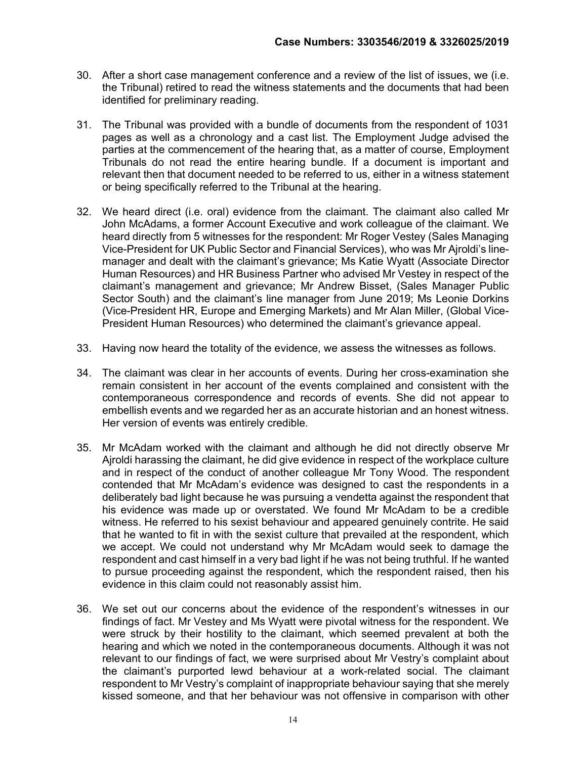- 30. After a short case management conference and a review of the list of issues, we (i.e. the Tribunal) retired to read the witness statements and the documents that had been identified for preliminary reading.
- 31. The Tribunal was provided with a bundle of documents from the respondent of 1031 pages as well as a chronology and a cast list. The Employment Judge advised the parties at the commencement of the hearing that, as a matter of course, Employment Tribunals do not read the entire hearing bundle. If a document is important and relevant then that document needed to be referred to us, either in a witness statement or being specifically referred to the Tribunal at the hearing.
- 32. We heard direct (i.e. oral) evidence from the claimant. The claimant also called Mr John McAdams, a former Account Executive and work colleague of the claimant. We heard directly from 5 witnesses for the respondent: Mr Roger Vestey (Sales Managing Vice-President for UK Public Sector and Financial Services), who was Mr Ajroldi's linemanager and dealt with the claimant's grievance; Ms Katie Wyatt (Associate Director Human Resources) and HR Business Partner who advised Mr Vestey in respect of the claimant's management and grievance; Mr Andrew Bisset, (Sales Manager Public Sector South) and the claimant's line manager from June 2019; Ms Leonie Dorkins (Vice-President HR, Europe and Emerging Markets) and Mr Alan Miller, (Global Vice-President Human Resources) who determined the claimant's grievance appeal.
- 33. Having now heard the totality of the evidence, we assess the witnesses as follows.
- 34. The claimant was clear in her accounts of events. During her cross-examination she remain consistent in her account of the events complained and consistent with the contemporaneous correspondence and records of events. She did not appear to embellish events and we regarded her as an accurate historian and an honest witness. Her version of events was entirely credible.
- 35. Mr McAdam worked with the claimant and although he did not directly observe Mr Ajroldi harassing the claimant, he did give evidence in respect of the workplace culture and in respect of the conduct of another colleague Mr Tony Wood. The respondent contended that Mr McAdam's evidence was designed to cast the respondents in a deliberately bad light because he was pursuing a vendetta against the respondent that his evidence was made up or overstated. We found Mr McAdam to be a credible witness. He referred to his sexist behaviour and appeared genuinely contrite. He said that he wanted to fit in with the sexist culture that prevailed at the respondent, which we accept. We could not understand why Mr McAdam would seek to damage the respondent and cast himself in a very bad light if he was not being truthful. If he wanted to pursue proceeding against the respondent, which the respondent raised, then his evidence in this claim could not reasonably assist him.
- 36. We set out our concerns about the evidence of the respondent's witnesses in our findings of fact. Mr Vestey and Ms Wyatt were pivotal witness for the respondent. We were struck by their hostility to the claimant, which seemed prevalent at both the hearing and which we noted in the contemporaneous documents. Although it was not relevant to our findings of fact, we were surprised about Mr Vestry's complaint about the claimant's purported lewd behaviour at a work-related social. The claimant respondent to Mr Vestry's complaint of inappropriate behaviour saying that she merely kissed someone, and that her behaviour was not offensive in comparison with other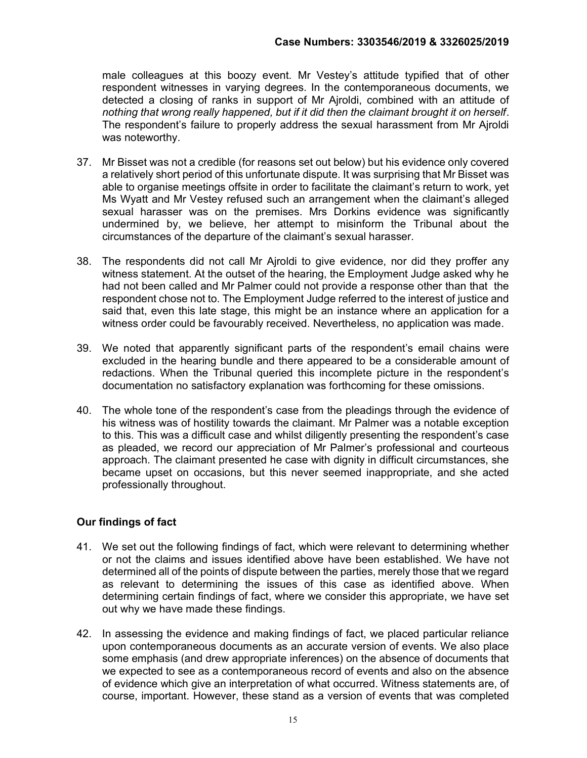male colleagues at this boozy event. Mr Vestey's attitude typified that of other respondent witnesses in varying degrees. In the contemporaneous documents, we detected a closing of ranks in support of Mr Ajroldi, combined with an attitude of nothing that wrong really happened, but if it did then the claimant brought it on herself. The respondent's failure to properly address the sexual harassment from Mr Ajroldi was noteworthy.

- 37. Mr Bisset was not a credible (for reasons set out below) but his evidence only covered a relatively short period of this unfortunate dispute. It was surprising that Mr Bisset was able to organise meetings offsite in order to facilitate the claimant's return to work, yet Ms Wyatt and Mr Vestey refused such an arrangement when the claimant's alleged sexual harasser was on the premises. Mrs Dorkins evidence was significantly undermined by, we believe, her attempt to misinform the Tribunal about the circumstances of the departure of the claimant's sexual harasser.
- 38. The respondents did not call Mr Ajroldi to give evidence, nor did they proffer any witness statement. At the outset of the hearing, the Employment Judge asked why he had not been called and Mr Palmer could not provide a response other than that the respondent chose not to. The Employment Judge referred to the interest of justice and said that, even this late stage, this might be an instance where an application for a witness order could be favourably received. Nevertheless, no application was made.
- 39. We noted that apparently significant parts of the respondent's email chains were excluded in the hearing bundle and there appeared to be a considerable amount of redactions. When the Tribunal queried this incomplete picture in the respondent's documentation no satisfactory explanation was forthcoming for these omissions.
- 40. The whole tone of the respondent's case from the pleadings through the evidence of his witness was of hostility towards the claimant. Mr Palmer was a notable exception to this. This was a difficult case and whilst diligently presenting the respondent's case as pleaded, we record our appreciation of Mr Palmer's professional and courteous approach. The claimant presented he case with dignity in difficult circumstances, she became upset on occasions, but this never seemed inappropriate, and she acted professionally throughout.

# Our findings of fact

- 41. We set out the following findings of fact, which were relevant to determining whether or not the claims and issues identified above have been established. We have not determined all of the points of dispute between the parties, merely those that we regard as relevant to determining the issues of this case as identified above. When determining certain findings of fact, where we consider this appropriate, we have set out why we have made these findings.
- 42. In assessing the evidence and making findings of fact, we placed particular reliance upon contemporaneous documents as an accurate version of events. We also place some emphasis (and drew appropriate inferences) on the absence of documents that we expected to see as a contemporaneous record of events and also on the absence of evidence which give an interpretation of what occurred. Witness statements are, of course, important. However, these stand as a version of events that was completed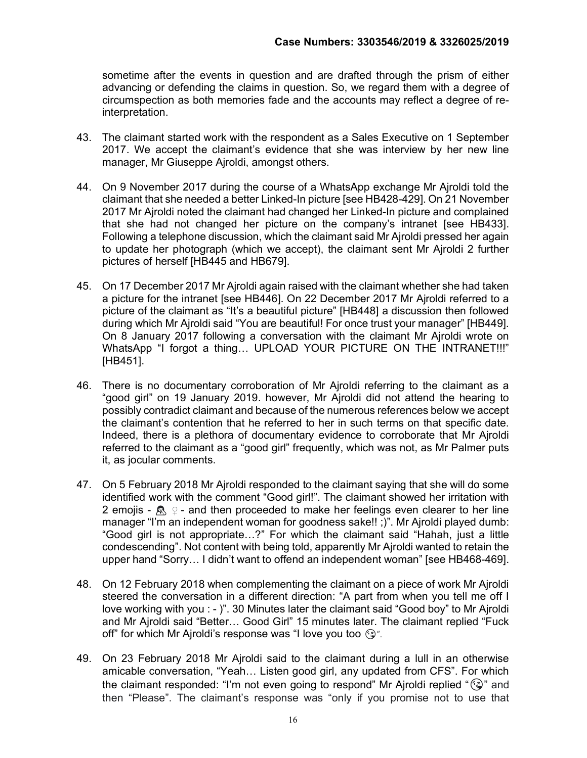sometime after the events in question and are drafted through the prism of either advancing or defending the claims in question. So, we regard them with a degree of circumspection as both memories fade and the accounts may reflect a degree of reinterpretation.

- 43. The claimant started work with the respondent as a Sales Executive on 1 September 2017. We accept the claimant's evidence that she was interview by her new line manager, Mr Giuseppe Ajroldi, amongst others.
- 44. On 9 November 2017 during the course of a WhatsApp exchange Mr Ajroldi told the claimant that she needed a better Linked-In picture [see HB428-429]. On 21 November 2017 Mr Ajroldi noted the claimant had changed her Linked-In picture and complained that she had not changed her picture on the company's intranet [see HB433]. Following a telephone discussion, which the claimant said Mr Ajroldi pressed her again to update her photograph (which we accept), the claimant sent Mr Ajroldi 2 further pictures of herself [HB445 and HB679].
- 45. On 17 December 2017 Mr Ajroldi again raised with the claimant whether she had taken a picture for the intranet [see HB446]. On 22 December 2017 Mr Ajroldi referred to a picture of the claimant as "It's a beautiful picture" [HB448] a discussion then followed during which Mr Ajroldi said "You are beautiful! For once trust your manager" [HB449]. On 8 January 2017 following a conversation with the claimant Mr Ajroldi wrote on WhatsApp "I forgot a thing... UPLOAD YOUR PICTURE ON THE INTRANET!!!" [HB451].
- 46. There is no documentary corroboration of Mr Ajroldi referring to the claimant as a "good girl" on 19 January 2019. however, Mr Ajroldi did not attend the hearing to possibly contradict claimant and because of the numerous references below we accept the claimant's contention that he referred to her in such terms on that specific date. Indeed, there is a plethora of documentary evidence to corroborate that Mr Ajroldi referred to the claimant as a "good girl" frequently, which was not, as Mr Palmer puts it, as jocular comments.
- 47. On 5 February 2018 Mr Ajroldi responded to the claimant saying that she will do some identified work with the comment "Good girl!". The claimant showed her irritation with 2 emojis -  $\mathbb{R}$   $\varphi$  - and then proceeded to make her feelings even clearer to her line manager "I'm an independent woman for goodness sake!! ;)". Mr Ajroldi played dumb: "Good girl is not appropriate…?" For which the claimant said "Hahah, just a little condescending". Not content with being told, apparently Mr Ajroldi wanted to retain the upper hand "Sorry… I didn't want to offend an independent woman" [see HB468-469].
- 48. On 12 February 2018 when complementing the claimant on a piece of work Mr Ajroldi steered the conversation in a different direction: "A part from when you tell me off I love working with you : - )". 30 Minutes later the claimant said "Good boy" to Mr Ajroldi and Mr Ajroldi said "Better… Good Girl" 15 minutes later. The claimant replied "Fuck off" for which Mr Ajroldi's response was "I love you too  $\mathbb{G}$ ".
- 49. On 23 February 2018 Mr Ajroldi said to the claimant during a lull in an otherwise amicable conversation, "Yeah… Listen good girl, any updated from CFS". For which the claimant responded: "I'm not even going to respond" Mr Ajroldi replied "(a)" and then "Please". The claimant's response was "only if you promise not to use that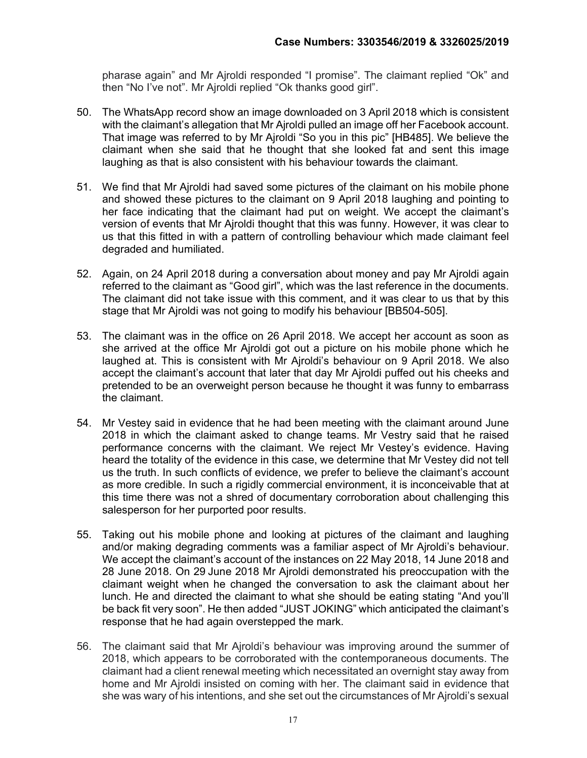pharase again" and Mr Ajroldi responded "I promise". The claimant replied "Ok" and then "No I've not". Mr Ajroldi replied "Ok thanks good girl".

- 50. The WhatsApp record show an image downloaded on 3 April 2018 which is consistent with the claimant's allegation that Mr Ajroldi pulled an image off her Facebook account. That image was referred to by Mr Ajroldi "So you in this pic" [HB485]. We believe the claimant when she said that he thought that she looked fat and sent this image laughing as that is also consistent with his behaviour towards the claimant.
- 51. We find that Mr Ajroldi had saved some pictures of the claimant on his mobile phone and showed these pictures to the claimant on 9 April 2018 laughing and pointing to her face indicating that the claimant had put on weight. We accept the claimant's version of events that Mr Ajroldi thought that this was funny. However, it was clear to us that this fitted in with a pattern of controlling behaviour which made claimant feel degraded and humiliated.
- 52. Again, on 24 April 2018 during a conversation about money and pay Mr Ajroldi again referred to the claimant as "Good girl", which was the last reference in the documents. The claimant did not take issue with this comment, and it was clear to us that by this stage that Mr Ajroldi was not going to modify his behaviour [BB504-505].
- 53. The claimant was in the office on 26 April 2018. We accept her account as soon as she arrived at the office Mr Ajroldi got out a picture on his mobile phone which he laughed at. This is consistent with Mr Ajroldi's behaviour on 9 April 2018. We also accept the claimant's account that later that day Mr Ajroldi puffed out his cheeks and pretended to be an overweight person because he thought it was funny to embarrass the claimant.
- 54. Mr Vestey said in evidence that he had been meeting with the claimant around June 2018 in which the claimant asked to change teams. Mr Vestry said that he raised performance concerns with the claimant. We reject Mr Vestey's evidence. Having heard the totality of the evidence in this case, we determine that Mr Vestey did not tell us the truth. In such conflicts of evidence, we prefer to believe the claimant's account as more credible. In such a rigidly commercial environment, it is inconceivable that at this time there was not a shred of documentary corroboration about challenging this salesperson for her purported poor results.
- 55. Taking out his mobile phone and looking at pictures of the claimant and laughing and/or making degrading comments was a familiar aspect of Mr Ajroldi's behaviour. We accept the claimant's account of the instances on 22 May 2018, 14 June 2018 and 28 June 2018. On 29 June 2018 Mr Ajroldi demonstrated his preoccupation with the claimant weight when he changed the conversation to ask the claimant about her lunch. He and directed the claimant to what she should be eating stating "And you'll be back fit very soon". He then added "JUST JOKING" which anticipated the claimant's response that he had again overstepped the mark.
- 56. The claimant said that Mr Ajroldi's behaviour was improving around the summer of 2018, which appears to be corroborated with the contemporaneous documents. The claimant had a client renewal meeting which necessitated an overnight stay away from home and Mr Ajroldi insisted on coming with her. The claimant said in evidence that she was wary of his intentions, and she set out the circumstances of Mr Ajroldi's sexual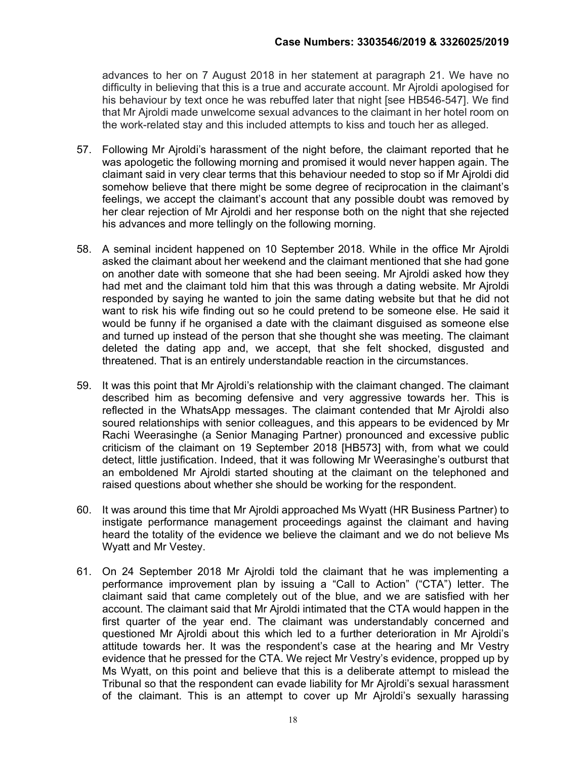advances to her on 7 August 2018 in her statement at paragraph 21. We have no difficulty in believing that this is a true and accurate account. Mr Ajroldi apologised for his behaviour by text once he was rebuffed later that night [see HB546-547]. We find that Mr Ajroldi made unwelcome sexual advances to the claimant in her hotel room on the work-related stay and this included attempts to kiss and touch her as alleged.

- 57. Following Mr Ajroldi's harassment of the night before, the claimant reported that he was apologetic the following morning and promised it would never happen again. The claimant said in very clear terms that this behaviour needed to stop so if Mr Ajroldi did somehow believe that there might be some degree of reciprocation in the claimant's feelings, we accept the claimant's account that any possible doubt was removed by her clear rejection of Mr Ajroldi and her response both on the night that she rejected his advances and more tellingly on the following morning.
- 58. A seminal incident happened on 10 September 2018. While in the office Mr Ajroldi asked the claimant about her weekend and the claimant mentioned that she had gone on another date with someone that she had been seeing. Mr Ajroldi asked how they had met and the claimant told him that this was through a dating website. Mr Ajroldi responded by saying he wanted to join the same dating website but that he did not want to risk his wife finding out so he could pretend to be someone else. He said it would be funny if he organised a date with the claimant disguised as someone else and turned up instead of the person that she thought she was meeting. The claimant deleted the dating app and, we accept, that she felt shocked, disgusted and threatened. That is an entirely understandable reaction in the circumstances.
- 59. It was this point that Mr Ajroldi's relationship with the claimant changed. The claimant described him as becoming defensive and very aggressive towards her. This is reflected in the WhatsApp messages. The claimant contended that Mr Ajroldi also soured relationships with senior colleagues, and this appears to be evidenced by Mr Rachi Weerasinghe (a Senior Managing Partner) pronounced and excessive public criticism of the claimant on 19 September 2018 [HB573] with, from what we could detect, little justification. Indeed, that it was following Mr Weerasinghe's outburst that an emboldened Mr Ajroldi started shouting at the claimant on the telephoned and raised questions about whether she should be working for the respondent.
- 60. It was around this time that Mr Ajroldi approached Ms Wyatt (HR Business Partner) to instigate performance management proceedings against the claimant and having heard the totality of the evidence we believe the claimant and we do not believe Ms Wyatt and Mr Vestey.
- 61. On 24 September 2018 Mr Ajroldi told the claimant that he was implementing a performance improvement plan by issuing a "Call to Action" ("CTA") letter. The claimant said that came completely out of the blue, and we are satisfied with her account. The claimant said that Mr Ajroldi intimated that the CTA would happen in the first quarter of the year end. The claimant was understandably concerned and questioned Mr Ajroldi about this which led to a further deterioration in Mr Ajroldi's attitude towards her. It was the respondent's case at the hearing and Mr Vestry evidence that he pressed for the CTA. We reject Mr Vestry's evidence, propped up by Ms Wyatt, on this point and believe that this is a deliberate attempt to mislead the Tribunal so that the respondent can evade liability for Mr Ajroldi's sexual harassment of the claimant. This is an attempt to cover up Mr Ajroldi's sexually harassing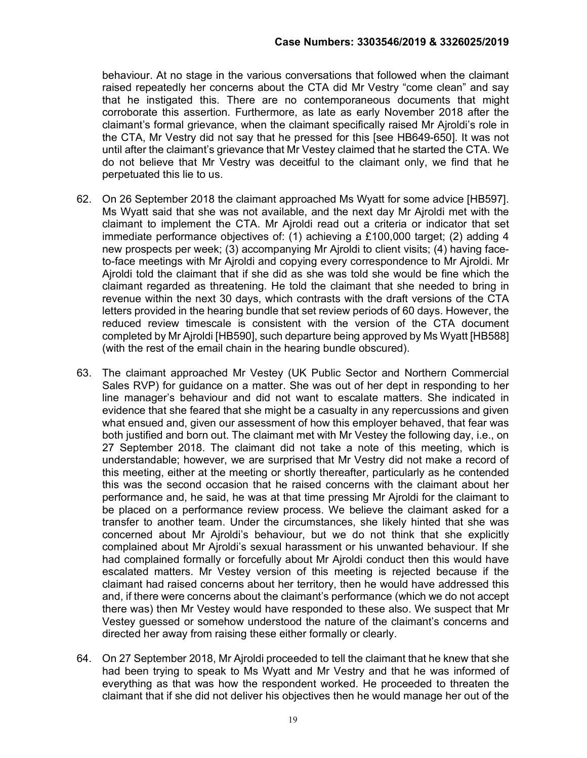behaviour. At no stage in the various conversations that followed when the claimant raised repeatedly her concerns about the CTA did Mr Vestry "come clean" and say that he instigated this. There are no contemporaneous documents that might corroborate this assertion. Furthermore, as late as early November 2018 after the claimant's formal grievance, when the claimant specifically raised Mr Ajroldi's role in the CTA, Mr Vestry did not say that he pressed for this [see HB649-650]. It was not until after the claimant's grievance that Mr Vestey claimed that he started the CTA. We do not believe that Mr Vestry was deceitful to the claimant only, we find that he perpetuated this lie to us.

- 62. On 26 September 2018 the claimant approached Ms Wyatt for some advice [HB597]. Ms Wyatt said that she was not available, and the next day Mr Ajroldi met with the claimant to implement the CTA. Mr Ajroldi read out a criteria or indicator that set immediate performance objectives of: (1) achieving a £100,000 target; (2) adding 4 new prospects per week; (3) accompanying Mr Ajroldi to client visits; (4) having faceto-face meetings with Mr Ajroldi and copying every correspondence to Mr Ajroldi. Mr Ajroldi told the claimant that if she did as she was told she would be fine which the claimant regarded as threatening. He told the claimant that she needed to bring in revenue within the next 30 days, which contrasts with the draft versions of the CTA letters provided in the hearing bundle that set review periods of 60 days. However, the reduced review timescale is consistent with the version of the CTA document completed by Mr Ajroldi [HB590], such departure being approved by Ms Wyatt [HB588] (with the rest of the email chain in the hearing bundle obscured).
- 63. The claimant approached Mr Vestey (UK Public Sector and Northern Commercial Sales RVP) for guidance on a matter. She was out of her dept in responding to her line manager's behaviour and did not want to escalate matters. She indicated in evidence that she feared that she might be a casualty in any repercussions and given what ensued and, given our assessment of how this employer behaved, that fear was both justified and born out. The claimant met with Mr Vestey the following day, i.e., on 27 September 2018. The claimant did not take a note of this meeting, which is understandable; however, we are surprised that Mr Vestry did not make a record of this meeting, either at the meeting or shortly thereafter, particularly as he contended this was the second occasion that he raised concerns with the claimant about her performance and, he said, he was at that time pressing Mr Ajroldi for the claimant to be placed on a performance review process. We believe the claimant asked for a transfer to another team. Under the circumstances, she likely hinted that she was concerned about Mr Ajroldi's behaviour, but we do not think that she explicitly complained about Mr Ajroldi's sexual harassment or his unwanted behaviour. If she had complained formally or forcefully about Mr Ajroldi conduct then this would have escalated matters. Mr Vestey version of this meeting is rejected because if the claimant had raised concerns about her territory, then he would have addressed this and, if there were concerns about the claimant's performance (which we do not accept there was) then Mr Vestey would have responded to these also. We suspect that Mr Vestey guessed or somehow understood the nature of the claimant's concerns and directed her away from raising these either formally or clearly.
- 64. On 27 September 2018, Mr Ajroldi proceeded to tell the claimant that he knew that she had been trying to speak to Ms Wyatt and Mr Vestry and that he was informed of everything as that was how the respondent worked. He proceeded to threaten the claimant that if she did not deliver his objectives then he would manage her out of the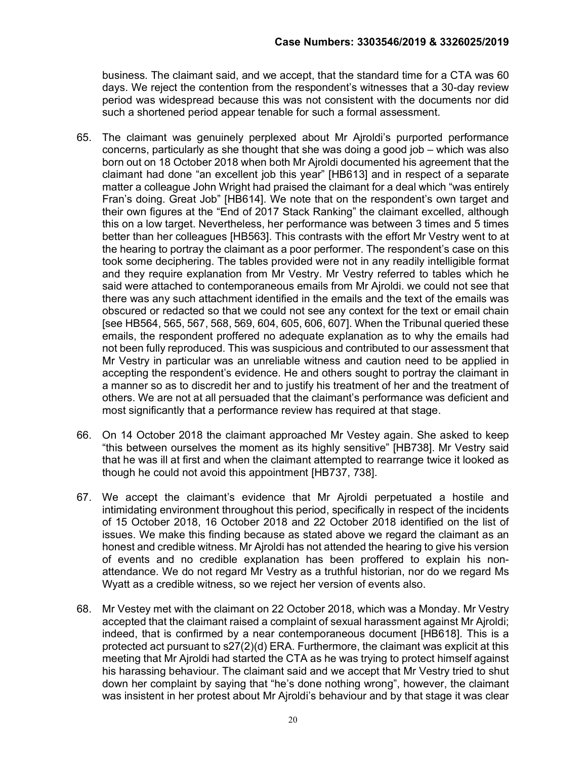business. The claimant said, and we accept, that the standard time for a CTA was 60 days. We reject the contention from the respondent's witnesses that a 30-day review period was widespread because this was not consistent with the documents nor did such a shortened period appear tenable for such a formal assessment.

- 65. The claimant was genuinely perplexed about Mr Ajroldi's purported performance concerns, particularly as she thought that she was doing a good job – which was also born out on 18 October 2018 when both Mr Ajroldi documented his agreement that the claimant had done "an excellent job this year" [HB613] and in respect of a separate matter a colleague John Wright had praised the claimant for a deal which "was entirely Fran's doing. Great Job" [HB614]. We note that on the respondent's own target and their own figures at the "End of 2017 Stack Ranking" the claimant excelled, although this on a low target. Nevertheless, her performance was between 3 times and 5 times better than her colleagues [HB563]. This contrasts with the effort Mr Vestry went to at the hearing to portray the claimant as a poor performer. The respondent's case on this took some deciphering. The tables provided were not in any readily intelligible format and they require explanation from Mr Vestry. Mr Vestry referred to tables which he said were attached to contemporaneous emails from Mr Ajroldi. we could not see that there was any such attachment identified in the emails and the text of the emails was obscured or redacted so that we could not see any context for the text or email chain [see HB564, 565, 567, 568, 569, 604, 605, 606, 607]. When the Tribunal queried these emails, the respondent proffered no adequate explanation as to why the emails had not been fully reproduced. This was suspicious and contributed to our assessment that Mr Vestry in particular was an unreliable witness and caution need to be applied in accepting the respondent's evidence. He and others sought to portray the claimant in a manner so as to discredit her and to justify his treatment of her and the treatment of others. We are not at all persuaded that the claimant's performance was deficient and most significantly that a performance review has required at that stage.
- 66. On 14 October 2018 the claimant approached Mr Vestey again. She asked to keep "this between ourselves the moment as its highly sensitive" [HB738]. Mr Vestry said that he was ill at first and when the claimant attempted to rearrange twice it looked as though he could not avoid this appointment [HB737, 738].
- 67. We accept the claimant's evidence that Mr Ajroldi perpetuated a hostile and intimidating environment throughout this period, specifically in respect of the incidents of 15 October 2018, 16 October 2018 and 22 October 2018 identified on the list of issues. We make this finding because as stated above we regard the claimant as an honest and credible witness. Mr Ajroldi has not attended the hearing to give his version of events and no credible explanation has been proffered to explain his nonattendance. We do not regard Mr Vestry as a truthful historian, nor do we regard Ms Wyatt as a credible witness, so we reject her version of events also.
- 68. Mr Vestey met with the claimant on 22 October 2018, which was a Monday. Mr Vestry accepted that the claimant raised a complaint of sexual harassment against Mr Ajroldi; indeed, that is confirmed by a near contemporaneous document [HB618]. This is a protected act pursuant to s27(2)(d) ERA. Furthermore, the claimant was explicit at this meeting that Mr Ajroldi had started the CTA as he was trying to protect himself against his harassing behaviour. The claimant said and we accept that Mr Vestry tried to shut down her complaint by saying that "he's done nothing wrong", however, the claimant was insistent in her protest about Mr Ajroldi's behaviour and by that stage it was clear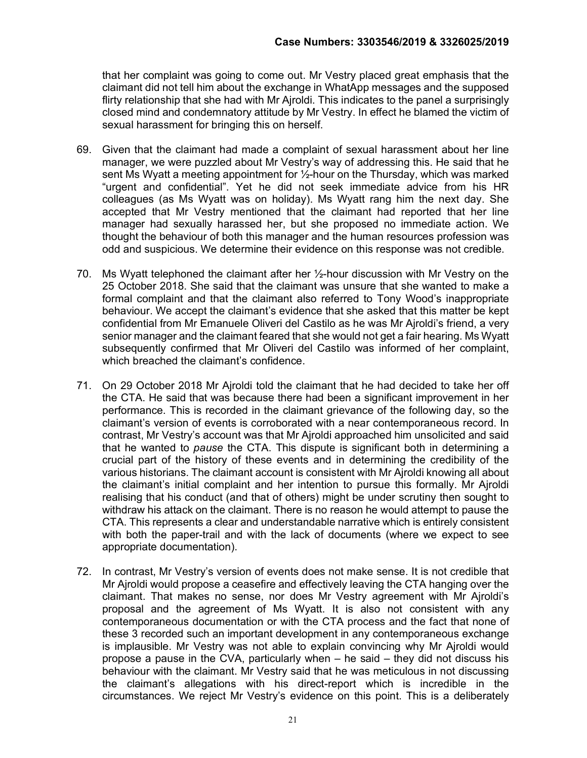that her complaint was going to come out. Mr Vestry placed great emphasis that the claimant did not tell him about the exchange in WhatApp messages and the supposed flirty relationship that she had with Mr Ajroldi. This indicates to the panel a surprisingly closed mind and condemnatory attitude by Mr Vestry. In effect he blamed the victim of sexual harassment for bringing this on herself.

- 69. Given that the claimant had made a complaint of sexual harassment about her line manager, we were puzzled about Mr Vestry's way of addressing this. He said that he sent Ms Wyatt a meeting appointment for  $\frac{1}{2}$ -hour on the Thursday, which was marked "urgent and confidential". Yet he did not seek immediate advice from his HR colleagues (as Ms Wyatt was on holiday). Ms Wyatt rang him the next day. She accepted that Mr Vestry mentioned that the claimant had reported that her line manager had sexually harassed her, but she proposed no immediate action. We thought the behaviour of both this manager and the human resources profession was odd and suspicious. We determine their evidence on this response was not credible.
- 70. Ms Wyatt telephoned the claimant after her ½-hour discussion with Mr Vestry on the 25 October 2018. She said that the claimant was unsure that she wanted to make a formal complaint and that the claimant also referred to Tony Wood's inappropriate behaviour. We accept the claimant's evidence that she asked that this matter be kept confidential from Mr Emanuele Oliveri del Castilo as he was Mr Ajroldi's friend, a very senior manager and the claimant feared that she would not get a fair hearing. Ms Wyatt subsequently confirmed that Mr Oliveri del Castilo was informed of her complaint, which breached the claimant's confidence.
- 71. On 29 October 2018 Mr Ajroldi told the claimant that he had decided to take her off the CTA. He said that was because there had been a significant improvement in her performance. This is recorded in the claimant grievance of the following day, so the claimant's version of events is corroborated with a near contemporaneous record. In contrast, Mr Vestry's account was that Mr Ajroldi approached him unsolicited and said that he wanted to pause the CTA. This dispute is significant both in determining a crucial part of the history of these events and in determining the credibility of the various historians. The claimant account is consistent with Mr Ajroldi knowing all about the claimant's initial complaint and her intention to pursue this formally. Mr Ajroldi realising that his conduct (and that of others) might be under scrutiny then sought to withdraw his attack on the claimant. There is no reason he would attempt to pause the CTA. This represents a clear and understandable narrative which is entirely consistent with both the paper-trail and with the lack of documents (where we expect to see appropriate documentation).
- 72. In contrast, Mr Vestry's version of events does not make sense. It is not credible that Mr Ajroldi would propose a ceasefire and effectively leaving the CTA hanging over the claimant. That makes no sense, nor does Mr Vestry agreement with Mr Ajroldi's proposal and the agreement of Ms Wyatt. It is also not consistent with any contemporaneous documentation or with the CTA process and the fact that none of these 3 recorded such an important development in any contemporaneous exchange is implausible. Mr Vestry was not able to explain convincing why Mr Ajroldi would propose a pause in the CVA, particularly when – he said – they did not discuss his behaviour with the claimant. Mr Vestry said that he was meticulous in not discussing the claimant's allegations with his direct-report which is incredible in the circumstances. We reject Mr Vestry's evidence on this point. This is a deliberately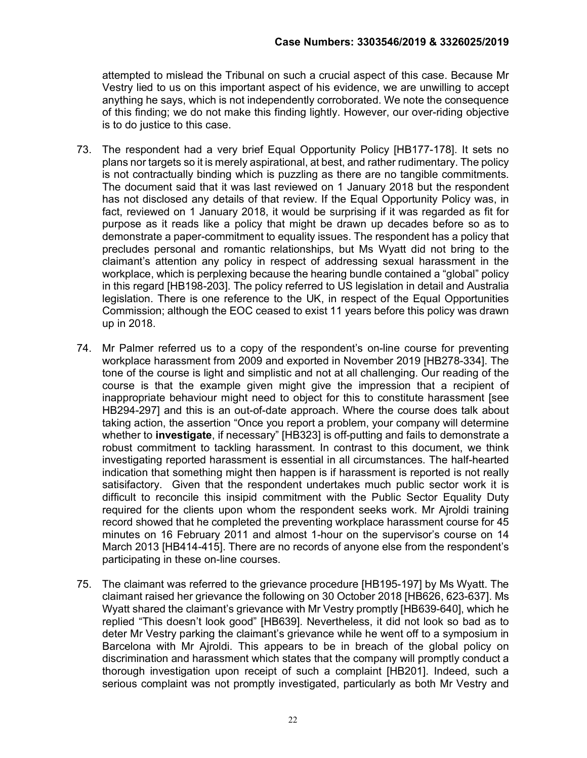attempted to mislead the Tribunal on such a crucial aspect of this case. Because Mr Vestry lied to us on this important aspect of his evidence, we are unwilling to accept anything he says, which is not independently corroborated. We note the consequence of this finding; we do not make this finding lightly. However, our over-riding objective is to do justice to this case.

- 73. The respondent had a very brief Equal Opportunity Policy [HB177-178]. It sets no plans nor targets so it is merely aspirational, at best, and rather rudimentary. The policy is not contractually binding which is puzzling as there are no tangible commitments. The document said that it was last reviewed on 1 January 2018 but the respondent has not disclosed any details of that review. If the Equal Opportunity Policy was, in fact, reviewed on 1 January 2018, it would be surprising if it was regarded as fit for purpose as it reads like a policy that might be drawn up decades before so as to demonstrate a paper-commitment to equality issues. The respondent has a policy that precludes personal and romantic relationships, but Ms Wyatt did not bring to the claimant's attention any policy in respect of addressing sexual harassment in the workplace, which is perplexing because the hearing bundle contained a "global" policy in this regard [HB198-203]. The policy referred to US legislation in detail and Australia legislation. There is one reference to the UK, in respect of the Equal Opportunities Commission; although the EOC ceased to exist 11 years before this policy was drawn up in 2018.
- 74. Mr Palmer referred us to a copy of the respondent's on-line course for preventing workplace harassment from 2009 and exported in November 2019 [HB278-334]. The tone of the course is light and simplistic and not at all challenging. Our reading of the course is that the example given might give the impression that a recipient of inappropriate behaviour might need to object for this to constitute harassment [see HB294-297] and this is an out-of-date approach. Where the course does talk about taking action, the assertion "Once you report a problem, your company will determine whether to **investigate**, if necessary" [HB323] is off-putting and fails to demonstrate a robust commitment to tackling harassment. In contrast to this document, we think investigating reported harassment is essential in all circumstances. The half-hearted indication that something might then happen is if harassment is reported is not really satisifactory. Given that the respondent undertakes much public sector work it is difficult to reconcile this insipid commitment with the Public Sector Equality Duty required for the clients upon whom the respondent seeks work. Mr Ajroldi training record showed that he completed the preventing workplace harassment course for 45 minutes on 16 February 2011 and almost 1-hour on the supervisor's course on 14 March 2013 [HB414-415]. There are no records of anyone else from the respondent's participating in these on-line courses.
- 75. The claimant was referred to the grievance procedure [HB195-197] by Ms Wyatt. The claimant raised her grievance the following on 30 October 2018 [HB626, 623-637]. Ms Wyatt shared the claimant's grievance with Mr Vestry promptly [HB639-640], which he replied "This doesn't look good" [HB639]. Nevertheless, it did not look so bad as to deter Mr Vestry parking the claimant's grievance while he went off to a symposium in Barcelona with Mr Ajroldi. This appears to be in breach of the global policy on discrimination and harassment which states that the company will promptly conduct a thorough investigation upon receipt of such a complaint [HB201]. Indeed, such a serious complaint was not promptly investigated, particularly as both Mr Vestry and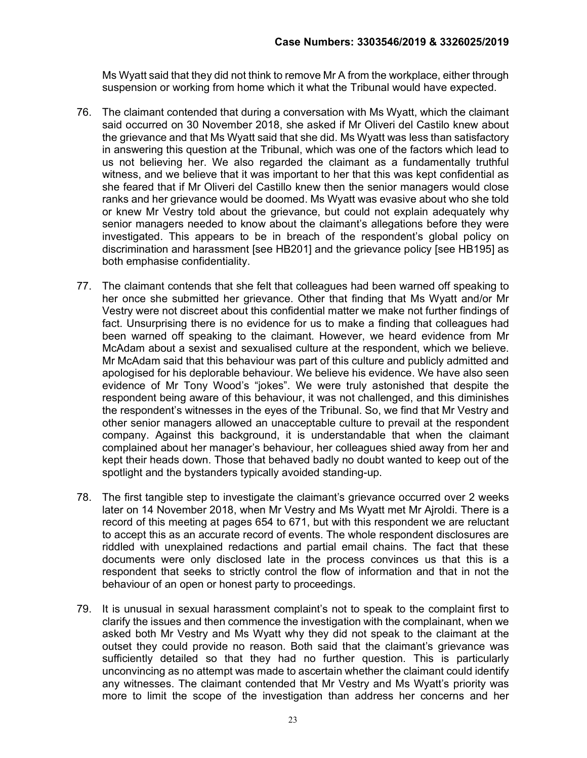Ms Wyatt said that they did not think to remove Mr A from the workplace, either through suspension or working from home which it what the Tribunal would have expected.

- 76. The claimant contended that during a conversation with Ms Wyatt, which the claimant said occurred on 30 November 2018, she asked if Mr Oliveri del Castilo knew about the grievance and that Ms Wyatt said that she did. Ms Wyatt was less than satisfactory in answering this question at the Tribunal, which was one of the factors which lead to us not believing her. We also regarded the claimant as a fundamentally truthful witness, and we believe that it was important to her that this was kept confidential as she feared that if Mr Oliveri del Castillo knew then the senior managers would close ranks and her grievance would be doomed. Ms Wyatt was evasive about who she told or knew Mr Vestry told about the grievance, but could not explain adequately why senior managers needed to know about the claimant's allegations before they were investigated. This appears to be in breach of the respondent's global policy on discrimination and harassment [see HB201] and the grievance policy [see HB195] as both emphasise confidentiality.
- 77. The claimant contends that she felt that colleagues had been warned off speaking to her once she submitted her grievance. Other that finding that Ms Wyatt and/or Mr Vestry were not discreet about this confidential matter we make not further findings of fact. Unsurprising there is no evidence for us to make a finding that colleagues had been warned off speaking to the claimant. However, we heard evidence from Mr McAdam about a sexist and sexualised culture at the respondent, which we believe. Mr McAdam said that this behaviour was part of this culture and publicly admitted and apologised for his deplorable behaviour. We believe his evidence. We have also seen evidence of Mr Tony Wood's "jokes". We were truly astonished that despite the respondent being aware of this behaviour, it was not challenged, and this diminishes the respondent's witnesses in the eyes of the Tribunal. So, we find that Mr Vestry and other senior managers allowed an unacceptable culture to prevail at the respondent company. Against this background, it is understandable that when the claimant complained about her manager's behaviour, her colleagues shied away from her and kept their heads down. Those that behaved badly no doubt wanted to keep out of the spotlight and the bystanders typically avoided standing-up.
- 78. The first tangible step to investigate the claimant's grievance occurred over 2 weeks later on 14 November 2018, when Mr Vestry and Ms Wyatt met Mr Ajroldi. There is a record of this meeting at pages 654 to 671, but with this respondent we are reluctant to accept this as an accurate record of events. The whole respondent disclosures are riddled with unexplained redactions and partial email chains. The fact that these documents were only disclosed late in the process convinces us that this is a respondent that seeks to strictly control the flow of information and that in not the behaviour of an open or honest party to proceedings.
- 79. It is unusual in sexual harassment complaint's not to speak to the complaint first to clarify the issues and then commence the investigation with the complainant, when we asked both Mr Vestry and Ms Wyatt why they did not speak to the claimant at the outset they could provide no reason. Both said that the claimant's grievance was sufficiently detailed so that they had no further question. This is particularly unconvincing as no attempt was made to ascertain whether the claimant could identify any witnesses. The claimant contended that Mr Vestry and Ms Wyatt's priority was more to limit the scope of the investigation than address her concerns and her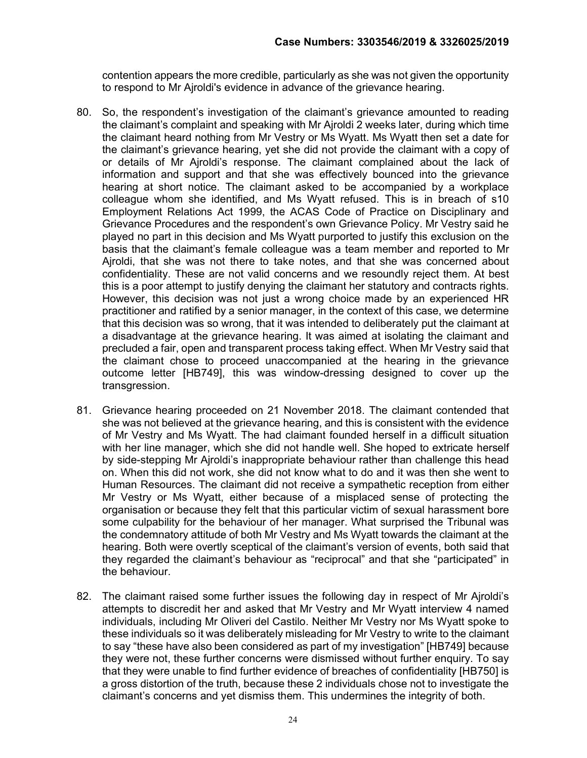contention appears the more credible, particularly as she was not given the opportunity to respond to Mr Ajroldi's evidence in advance of the grievance hearing.

- 80. So, the respondent's investigation of the claimant's grievance amounted to reading the claimant's complaint and speaking with Mr Ajroldi 2 weeks later, during which time the claimant heard nothing from Mr Vestry or Ms Wyatt. Ms Wyatt then set a date for the claimant's grievance hearing, yet she did not provide the claimant with a copy of or details of Mr Ajroldi's response. The claimant complained about the lack of information and support and that she was effectively bounced into the grievance hearing at short notice. The claimant asked to be accompanied by a workplace colleague whom she identified, and Ms Wyatt refused. This is in breach of s10 Employment Relations Act 1999, the ACAS Code of Practice on Disciplinary and Grievance Procedures and the respondent's own Grievance Policy. Mr Vestry said he played no part in this decision and Ms Wyatt purported to justify this exclusion on the basis that the claimant's female colleague was a team member and reported to Mr Ajroldi, that she was not there to take notes, and that she was concerned about confidentiality. These are not valid concerns and we resoundly reject them. At best this is a poor attempt to justify denying the claimant her statutory and contracts rights. However, this decision was not just a wrong choice made by an experienced HR practitioner and ratified by a senior manager, in the context of this case, we determine that this decision was so wrong, that it was intended to deliberately put the claimant at a disadvantage at the grievance hearing. It was aimed at isolating the claimant and precluded a fair, open and transparent process taking effect. When Mr Vestry said that the claimant chose to proceed unaccompanied at the hearing in the grievance outcome letter [HB749], this was window-dressing designed to cover up the transgression.
- 81. Grievance hearing proceeded on 21 November 2018. The claimant contended that she was not believed at the grievance hearing, and this is consistent with the evidence of Mr Vestry and Ms Wyatt. The had claimant founded herself in a difficult situation with her line manager, which she did not handle well. She hoped to extricate herself by side-stepping Mr Ajroldi's inappropriate behaviour rather than challenge this head on. When this did not work, she did not know what to do and it was then she went to Human Resources. The claimant did not receive a sympathetic reception from either Mr Vestry or Ms Wyatt, either because of a misplaced sense of protecting the organisation or because they felt that this particular victim of sexual harassment bore some culpability for the behaviour of her manager. What surprised the Tribunal was the condemnatory attitude of both Mr Vestry and Ms Wyatt towards the claimant at the hearing. Both were overtly sceptical of the claimant's version of events, both said that they regarded the claimant's behaviour as "reciprocal" and that she "participated" in the behaviour.
- 82. The claimant raised some further issues the following day in respect of Mr Ajroldi's attempts to discredit her and asked that Mr Vestry and Mr Wyatt interview 4 named individuals, including Mr Oliveri del Castilo. Neither Mr Vestry nor Ms Wyatt spoke to these individuals so it was deliberately misleading for Mr Vestry to write to the claimant to say "these have also been considered as part of my investigation" [HB749] because they were not, these further concerns were dismissed without further enquiry. To say that they were unable to find further evidence of breaches of confidentiality [HB750] is a gross distortion of the truth, because these 2 individuals chose not to investigate the claimant's concerns and yet dismiss them. This undermines the integrity of both.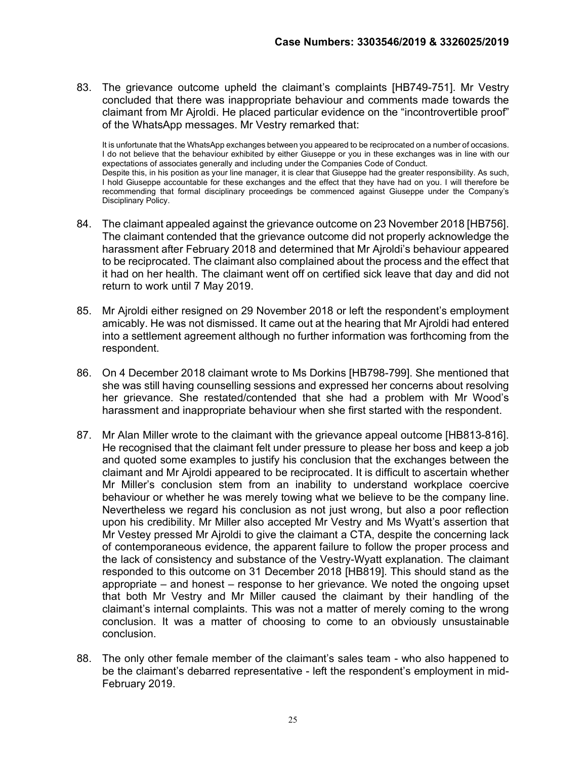83. The grievance outcome upheld the claimant's complaints [HB749-751]. Mr Vestry concluded that there was inappropriate behaviour and comments made towards the claimant from Mr Ajroldi. He placed particular evidence on the "incontrovertible proof" of the WhatsApp messages. Mr Vestry remarked that:

It is unfortunate that the WhatsApp exchanges between you appeared to be reciprocated on a number of occasions. I do not believe that the behaviour exhibited by either Giuseppe or you in these exchanges was in line with our expectations of associates generally and including under the Companies Code of Conduct. Despite this, in his position as your line manager, it is clear that Giuseppe had the greater responsibility. As such, I hold Giuseppe accountable for these exchanges and the effect that they have had on you. I will therefore be recommending that formal disciplinary proceedings be commenced against Giuseppe under the Company's Disciplinary Policy.

- 84. The claimant appealed against the grievance outcome on 23 November 2018 [HB756]. The claimant contended that the grievance outcome did not properly acknowledge the harassment after February 2018 and determined that Mr Ajroldi's behaviour appeared to be reciprocated. The claimant also complained about the process and the effect that it had on her health. The claimant went off on certified sick leave that day and did not return to work until 7 May 2019.
- 85. Mr Ajroldi either resigned on 29 November 2018 or left the respondent's employment amicably. He was not dismissed. It came out at the hearing that Mr Ajroldi had entered into a settlement agreement although no further information was forthcoming from the respondent.
- 86. On 4 December 2018 claimant wrote to Ms Dorkins [HB798-799]. She mentioned that she was still having counselling sessions and expressed her concerns about resolving her grievance. She restated/contended that she had a problem with Mr Wood's harassment and inappropriate behaviour when she first started with the respondent.
- 87. Mr Alan Miller wrote to the claimant with the grievance appeal outcome [HB813-816]. He recognised that the claimant felt under pressure to please her boss and keep a job and quoted some examples to justify his conclusion that the exchanges between the claimant and Mr Ajroldi appeared to be reciprocated. It is difficult to ascertain whether Mr Miller's conclusion stem from an inability to understand workplace coercive behaviour or whether he was merely towing what we believe to be the company line. Nevertheless we regard his conclusion as not just wrong, but also a poor reflection upon his credibility. Mr Miller also accepted Mr Vestry and Ms Wyatt's assertion that Mr Vestey pressed Mr Ajroldi to give the claimant a CTA, despite the concerning lack of contemporaneous evidence, the apparent failure to follow the proper process and the lack of consistency and substance of the Vestry-Wyatt explanation. The claimant responded to this outcome on 31 December 2018 [HB819]. This should stand as the appropriate – and honest – response to her grievance. We noted the ongoing upset that both Mr Vestry and Mr Miller caused the claimant by their handling of the claimant's internal complaints. This was not a matter of merely coming to the wrong conclusion. It was a matter of choosing to come to an obviously unsustainable conclusion.
- 88. The only other female member of the claimant's sales team who also happened to be the claimant's debarred representative - left the respondent's employment in mid-February 2019.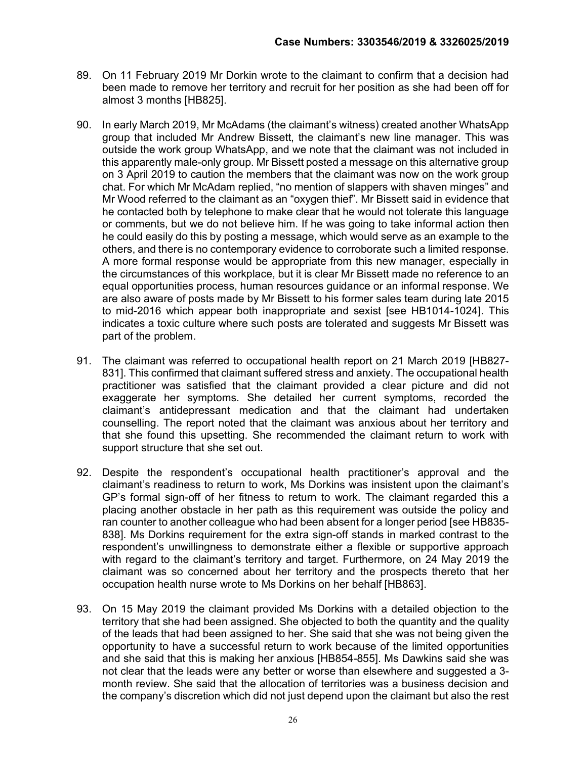- 89. On 11 February 2019 Mr Dorkin wrote to the claimant to confirm that a decision had been made to remove her territory and recruit for her position as she had been off for almost 3 months [HB825].
- 90. In early March 2019, Mr McAdams (the claimant's witness) created another WhatsApp group that included Mr Andrew Bissett, the claimant's new line manager. This was outside the work group WhatsApp, and we note that the claimant was not included in this apparently male-only group. Mr Bissett posted a message on this alternative group on 3 April 2019 to caution the members that the claimant was now on the work group chat. For which Mr McAdam replied, "no mention of slappers with shaven minges" and Mr Wood referred to the claimant as an "oxygen thief". Mr Bissett said in evidence that he contacted both by telephone to make clear that he would not tolerate this language or comments, but we do not believe him. If he was going to take informal action then he could easily do this by posting a message, which would serve as an example to the others, and there is no contemporary evidence to corroborate such a limited response. A more formal response would be appropriate from this new manager, especially in the circumstances of this workplace, but it is clear Mr Bissett made no reference to an equal opportunities process, human resources guidance or an informal response. We are also aware of posts made by Mr Bissett to his former sales team during late 2015 to mid-2016 which appear both inappropriate and sexist [see HB1014-1024]. This indicates a toxic culture where such posts are tolerated and suggests Mr Bissett was part of the problem.
- 91. The claimant was referred to occupational health report on 21 March 2019 [HB827- 831]. This confirmed that claimant suffered stress and anxiety. The occupational health practitioner was satisfied that the claimant provided a clear picture and did not exaggerate her symptoms. She detailed her current symptoms, recorded the claimant's antidepressant medication and that the claimant had undertaken counselling. The report noted that the claimant was anxious about her territory and that she found this upsetting. She recommended the claimant return to work with support structure that she set out.
- 92. Despite the respondent's occupational health practitioner's approval and the claimant's readiness to return to work, Ms Dorkins was insistent upon the claimant's GP's formal sign-off of her fitness to return to work. The claimant regarded this a placing another obstacle in her path as this requirement was outside the policy and ran counter to another colleague who had been absent for a longer period [see HB835- 838]. Ms Dorkins requirement for the extra sign-off stands in marked contrast to the respondent's unwillingness to demonstrate either a flexible or supportive approach with regard to the claimant's territory and target. Furthermore, on 24 May 2019 the claimant was so concerned about her territory and the prospects thereto that her occupation health nurse wrote to Ms Dorkins on her behalf [HB863].
- 93. On 15 May 2019 the claimant provided Ms Dorkins with a detailed objection to the territory that she had been assigned. She objected to both the quantity and the quality of the leads that had been assigned to her. She said that she was not being given the opportunity to have a successful return to work because of the limited opportunities and she said that this is making her anxious [HB854-855]. Ms Dawkins said she was not clear that the leads were any better or worse than elsewhere and suggested a 3 month review. She said that the allocation of territories was a business decision and the company's discretion which did not just depend upon the claimant but also the rest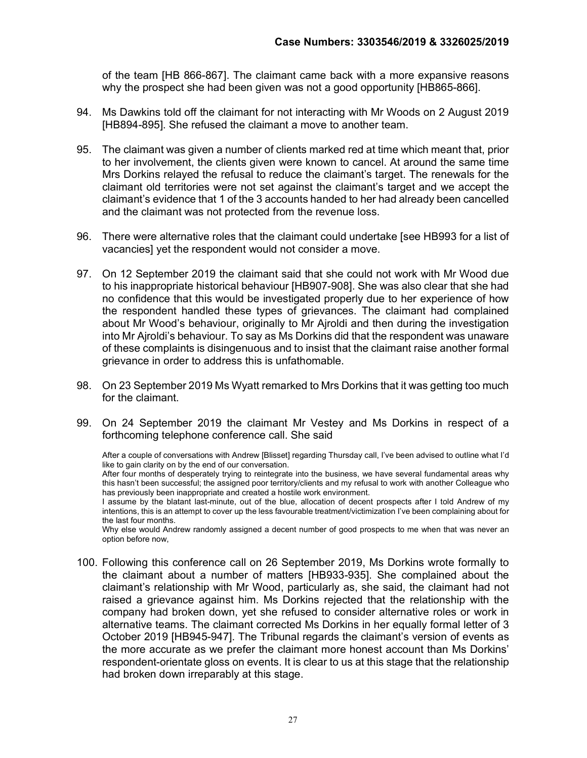of the team [HB 866-867]. The claimant came back with a more expansive reasons why the prospect she had been given was not a good opportunity [HB865-866].

- 94. Ms Dawkins told off the claimant for not interacting with Mr Woods on 2 August 2019 [HB894-895]. She refused the claimant a move to another team.
- 95. The claimant was given a number of clients marked red at time which meant that, prior to her involvement, the clients given were known to cancel. At around the same time Mrs Dorkins relayed the refusal to reduce the claimant's target. The renewals for the claimant old territories were not set against the claimant's target and we accept the claimant's evidence that 1 of the 3 accounts handed to her had already been cancelled and the claimant was not protected from the revenue loss.
- 96. There were alternative roles that the claimant could undertake [see HB993 for a list of vacancies] yet the respondent would not consider a move.
- 97. On 12 September 2019 the claimant said that she could not work with Mr Wood due to his inappropriate historical behaviour [HB907-908]. She was also clear that she had no confidence that this would be investigated properly due to her experience of how the respondent handled these types of grievances. The claimant had complained about Mr Wood's behaviour, originally to Mr Ajroldi and then during the investigation into Mr Ajroldi's behaviour. To say as Ms Dorkins did that the respondent was unaware of these complaints is disingenuous and to insist that the claimant raise another formal grievance in order to address this is unfathomable.
- 98. On 23 September 2019 Ms Wyatt remarked to Mrs Dorkins that it was getting too much for the claimant.
- 99. On 24 September 2019 the claimant Mr Vestey and Ms Dorkins in respect of a forthcoming telephone conference call. She said

After a couple of conversations with Andrew [Blisset] regarding Thursday call, I've been advised to outline what I'd like to gain clarity on by the end of our conversation.

After four months of desperately trying to reintegrate into the business, we have several fundamental areas why this hasn't been successful; the assigned poor territory/clients and my refusal to work with another Colleague who has previously been inappropriate and created a hostile work environment.

I assume by the blatant last-minute, out of the blue, allocation of decent prospects after I told Andrew of my intentions, this is an attempt to cover up the less favourable treatment/victimization I've been complaining about for the last four months.

Why else would Andrew randomly assigned a decent number of good prospects to me when that was never an option before now,

100. Following this conference call on 26 September 2019, Ms Dorkins wrote formally to the claimant about a number of matters [HB933-935]. She complained about the claimant's relationship with Mr Wood, particularly as, she said, the claimant had not raised a grievance against him. Ms Dorkins rejected that the relationship with the company had broken down, yet she refused to consider alternative roles or work in alternative teams. The claimant corrected Ms Dorkins in her equally formal letter of 3 October 2019 [HB945-947]. The Tribunal regards the claimant's version of events as the more accurate as we prefer the claimant more honest account than Ms Dorkins' respondent-orientate gloss on events. It is clear to us at this stage that the relationship had broken down irreparably at this stage.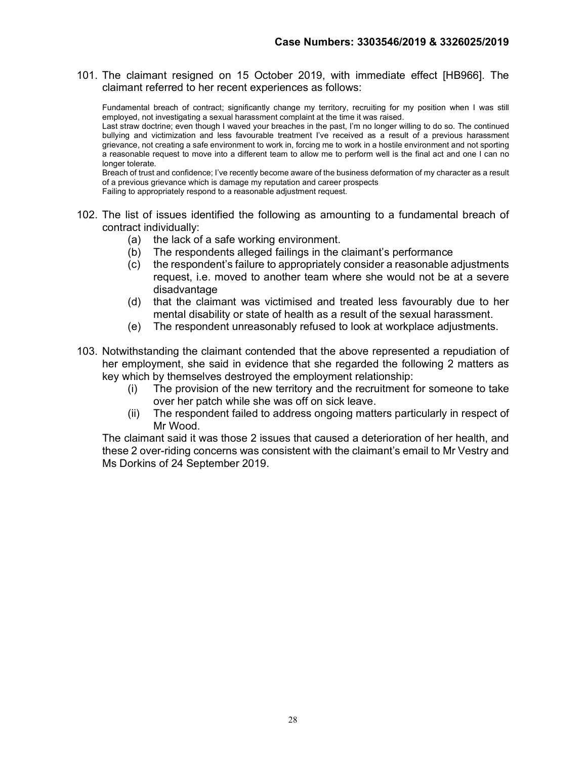101. The claimant resigned on 15 October 2019, with immediate effect [HB966]. The claimant referred to her recent experiences as follows:

Fundamental breach of contract; significantly change my territory, recruiting for my position when I was still employed, not investigating a sexual harassment complaint at the time it was raised.

Last straw doctrine; even though I waved your breaches in the past, I'm no longer willing to do so. The continued bullying and victimization and less favourable treatment I've received as a result of a previous harassment grievance, not creating a safe environment to work in, forcing me to work in a hostile environment and not sporting a reasonable request to move into a different team to allow me to perform well is the final act and one I can no longer tolerate.

Breach of trust and confidence; I've recently become aware of the business deformation of my character as a result of a previous grievance which is damage my reputation and career prospects

Failing to appropriately respond to a reasonable adjustment request.

- 102. The list of issues identified the following as amounting to a fundamental breach of contract individually:
	- (a) the lack of a safe working environment.
	- (b) The respondents alleged failings in the claimant's performance
	- (c) the respondent's failure to appropriately consider a reasonable adjustments request, i.e. moved to another team where she would not be at a severe disadvantage
	- (d) that the claimant was victimised and treated less favourably due to her mental disability or state of health as a result of the sexual harassment.
	- (e) The respondent unreasonably refused to look at workplace adjustments.
- 103. Notwithstanding the claimant contended that the above represented a repudiation of her employment, she said in evidence that she regarded the following 2 matters as key which by themselves destroyed the employment relationship:
	- (i) The provision of the new territory and the recruitment for someone to take over her patch while she was off on sick leave.
	- (ii) The respondent failed to address ongoing matters particularly in respect of Mr Wood.

The claimant said it was those 2 issues that caused a deterioration of her health, and these 2 over-riding concerns was consistent with the claimant's email to Mr Vestry and Ms Dorkins of 24 September 2019.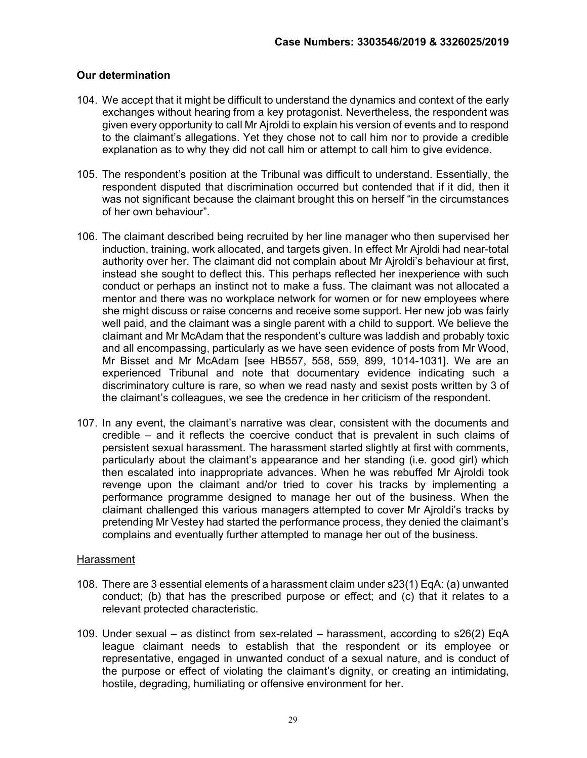## Our determination

- 104. We accept that it might be difficult to understand the dynamics and context of the early exchanges without hearing from a key protagonist. Nevertheless, the respondent was given every opportunity to call Mr Ajroldi to explain his version of events and to respond to the claimant's allegations. Yet they chose not to call him nor to provide a credible explanation as to why they did not call him or attempt to call him to give evidence.
- 105. The respondent's position at the Tribunal was difficult to understand. Essentially, the respondent disputed that discrimination occurred but contended that if it did, then it was not significant because the claimant brought this on herself "in the circumstances of her own behaviour".
- 106. The claimant described being recruited by her line manager who then supervised her induction, training, work allocated, and targets given. In effect Mr Ajroldi had near-total authority over her. The claimant did not complain about Mr Ajroldi's behaviour at first, instead she sought to deflect this. This perhaps reflected her inexperience with such conduct or perhaps an instinct not to make a fuss. The claimant was not allocated a mentor and there was no workplace network for women or for new employees where she might discuss or raise concerns and receive some support. Her new job was fairly well paid, and the claimant was a single parent with a child to support. We believe the claimant and Mr McAdam that the respondent's culture was laddish and probably toxic and all encompassing, particularly as we have seen evidence of posts from Mr Wood, Mr Bisset and Mr McAdam [see HB557, 558, 559, 899, 1014-1031]. We are an experienced Tribunal and note that documentary evidence indicating such a discriminatory culture is rare, so when we read nasty and sexist posts written by 3 of the claimant's colleagues, we see the credence in her criticism of the respondent.
- 107. In any event, the claimant's narrative was clear, consistent with the documents and credible – and it reflects the coercive conduct that is prevalent in such claims of persistent sexual harassment. The harassment started slightly at first with comments, particularly about the claimant's appearance and her standing (i.e. good girl) which then escalated into inappropriate advances. When he was rebuffed Mr Ajroldi took revenge upon the claimant and/or tried to cover his tracks by implementing a performance programme designed to manage her out of the business. When the claimant challenged this various managers attempted to cover Mr Ajroldi's tracks by pretending Mr Vestey had started the performance process, they denied the claimant's complains and eventually further attempted to manage her out of the business.

#### **Harassment**

- 108. There are 3 essential elements of a harassment claim under s23(1) EqA: (a) unwanted conduct; (b) that has the prescribed purpose or effect; and (c) that it relates to a relevant protected characteristic.
- 109. Under sexual as distinct from sex-related harassment, according to s26(2) EqA league claimant needs to establish that the respondent or its employee or representative, engaged in unwanted conduct of a sexual nature, and is conduct of the purpose or effect of violating the claimant's dignity, or creating an intimidating, hostile, degrading, humiliating or offensive environment for her.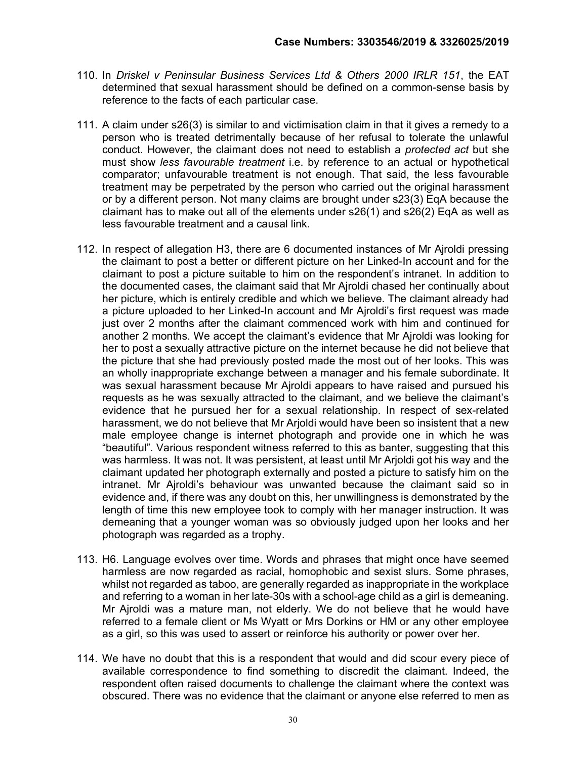- 110. In Driskel v Peninsular Business Services Ltd & Others 2000 IRLR 151, the EAT determined that sexual harassment should be defined on a common-sense basis by reference to the facts of each particular case.
- 111. A claim under s26(3) is similar to and victimisation claim in that it gives a remedy to a person who is treated detrimentally because of her refusal to tolerate the unlawful conduct. However, the claimant does not need to establish a protected act but she must show *less favourable treatment* i.e. by reference to an actual or hypothetical comparator; unfavourable treatment is not enough. That said, the less favourable treatment may be perpetrated by the person who carried out the original harassment or by a different person. Not many claims are brought under s23(3) EqA because the claimant has to make out all of the elements under s26(1) and s26(2) EqA as well as less favourable treatment and a causal link.
- 112. In respect of allegation H3, there are 6 documented instances of Mr Ajroldi pressing the claimant to post a better or different picture on her Linked-In account and for the claimant to post a picture suitable to him on the respondent's intranet. In addition to the documented cases, the claimant said that Mr Ajroldi chased her continually about her picture, which is entirely credible and which we believe. The claimant already had a picture uploaded to her Linked-In account and Mr Ajroldi's first request was made just over 2 months after the claimant commenced work with him and continued for another 2 months. We accept the claimant's evidence that Mr Ajroldi was looking for her to post a sexually attractive picture on the internet because he did not believe that the picture that she had previously posted made the most out of her looks. This was an wholly inappropriate exchange between a manager and his female subordinate. It was sexual harassment because Mr Ajroldi appears to have raised and pursued his requests as he was sexually attracted to the claimant, and we believe the claimant's evidence that he pursued her for a sexual relationship. In respect of sex-related harassment, we do not believe that Mr Arjoldi would have been so insistent that a new male employee change is internet photograph and provide one in which he was "beautiful". Various respondent witness referred to this as banter, suggesting that this was harmless. It was not. It was persistent, at least until Mr Arjoldi got his way and the claimant updated her photograph externally and posted a picture to satisfy him on the intranet. Mr Ajroldi's behaviour was unwanted because the claimant said so in evidence and, if there was any doubt on this, her unwillingness is demonstrated by the length of time this new employee took to comply with her manager instruction. It was demeaning that a younger woman was so obviously judged upon her looks and her photograph was regarded as a trophy.
- 113. H6. Language evolves over time. Words and phrases that might once have seemed harmless are now regarded as racial, homophobic and sexist slurs. Some phrases, whilst not regarded as taboo, are generally regarded as inappropriate in the workplace and referring to a woman in her late-30s with a school-age child as a girl is demeaning. Mr Ajroldi was a mature man, not elderly. We do not believe that he would have referred to a female client or Ms Wyatt or Mrs Dorkins or HM or any other employee as a girl, so this was used to assert or reinforce his authority or power over her.
- 114. We have no doubt that this is a respondent that would and did scour every piece of available correspondence to find something to discredit the claimant. Indeed, the respondent often raised documents to challenge the claimant where the context was obscured. There was no evidence that the claimant or anyone else referred to men as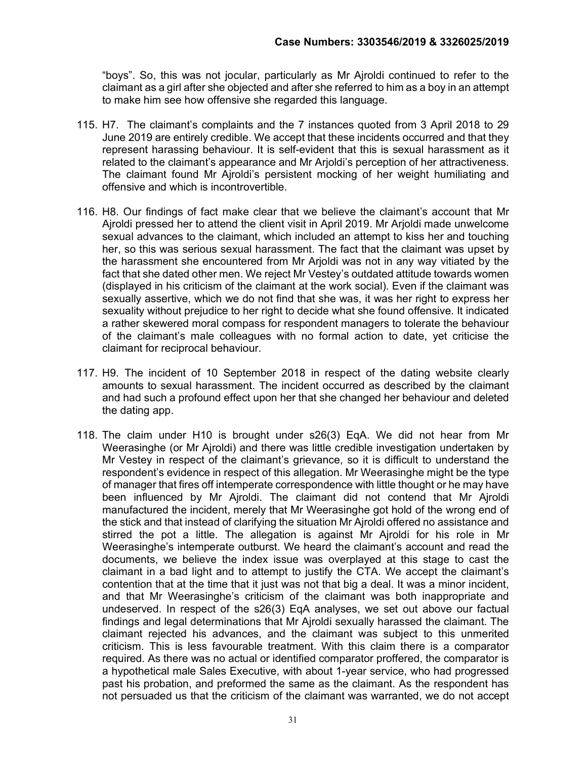"boys". So, this was not jocular, particularly as Mr Ajroldi continued to refer to the claimant as a girl after she objected and after she referred to him as a boy in an attempt to make him see how offensive she regarded this language.

- 115. H7. The claimant's complaints and the 7 instances quoted from 3 April 2018 to 29 June 2019 are entirely credible. We accept that these incidents occurred and that they represent harassing behaviour. It is self-evident that this is sexual harassment as it related to the claimant's appearance and Mr Arjoldi's perception of her attractiveness. The claimant found Mr Ajroldi's persistent mocking of her weight humiliating and offensive and which is incontrovertible.
- 116. H8. Our findings of fact make clear that we believe the claimant's account that Mr Ajroldi pressed her to attend the client visit in April 2019. Mr Arjoldi made unwelcome sexual advances to the claimant, which included an attempt to kiss her and touching her, so this was serious sexual harassment. The fact that the claimant was upset by the harassment she encountered from Mr Arjoldi was not in any way vitiated by the fact that she dated other men. We reject Mr Vestey's outdated attitude towards women (displayed in his criticism of the claimant at the work social). Even if the claimant was sexually assertive, which we do not find that she was, it was her right to express her sexuality without prejudice to her right to decide what she found offensive. It indicated a rather skewered moral compass for respondent managers to tolerate the behaviour of the claimant's male colleagues with no formal action to date, yet criticise the claimant for reciprocal behaviour.
- 117. H9. The incident of 10 September 2018 in respect of the dating website clearly amounts to sexual harassment. The incident occurred as described by the claimant and had such a profound effect upon her that she changed her behaviour and deleted the dating app.
- 118. The claim under H10 is brought under s26(3) EqA. We did not hear from Mr Weerasinghe (or Mr Ajroldi) and there was little credible investigation undertaken by Mr Vestey in respect of the claimant's grievance, so it is difficult to understand the respondent's evidence in respect of this allegation. Mr Weerasinghe might be the type of manager that fires off intemperate correspondence with little thought or he may have been influenced by Mr Ajroldi. The claimant did not contend that Mr Ajroldi manufactured the incident, merely that Mr Weerasinghe got hold of the wrong end of the stick and that instead of clarifying the situation Mr Ajroldi offered no assistance and stirred the pot a little. The allegation is against Mr Ajroldi for his role in Mr Weerasinghe's intemperate outburst. We heard the claimant's account and read the documents, we believe the index issue was overplayed at this stage to cast the claimant in a bad light and to attempt to justify the CTA. We accept the claimant's contention that at the time that it just was not that big a deal. It was a minor incident, and that Mr Weerasinghe's criticism of the claimant was both inappropriate and undeserved. In respect of the s26(3) EqA analyses, we set out above our factual findings and legal determinations that Mr Ajroldi sexually harassed the claimant. The claimant rejected his advances, and the claimant was subject to this unmerited criticism. This is less favourable treatment. With this claim there is a comparator required. As there was no actual or identified comparator proffered, the comparator is a hypothetical male Sales Executive, with about 1-year service, who had progressed past his probation, and preformed the same as the claimant. As the respondent has not persuaded us that the criticism of the claimant was warranted, we do not accept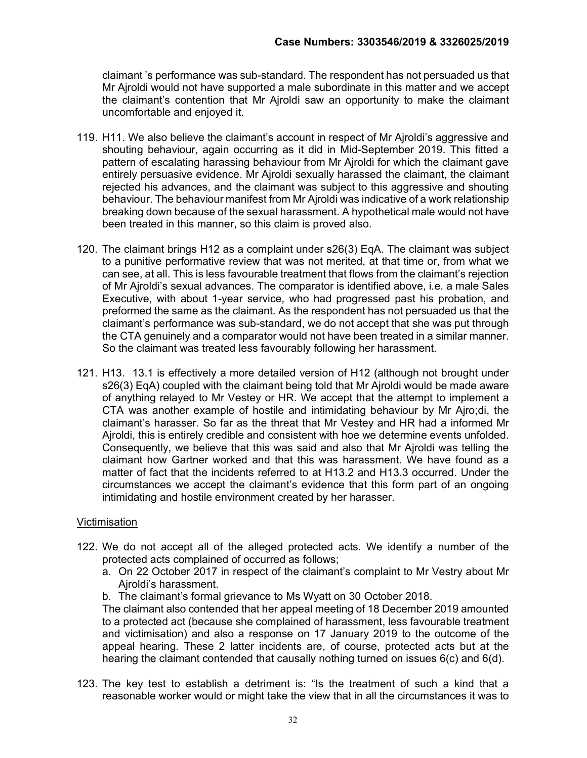claimant 's performance was sub-standard. The respondent has not persuaded us that Mr Ajroldi would not have supported a male subordinate in this matter and we accept the claimant's contention that Mr Ajroldi saw an opportunity to make the claimant uncomfortable and enjoyed it.

- 119. H11. We also believe the claimant's account in respect of Mr Ajroldi's aggressive and shouting behaviour, again occurring as it did in Mid-September 2019. This fitted a pattern of escalating harassing behaviour from Mr Ajroldi for which the claimant gave entirely persuasive evidence. Mr Ajroldi sexually harassed the claimant, the claimant rejected his advances, and the claimant was subject to this aggressive and shouting behaviour. The behaviour manifest from Mr Ajroldi was indicative of a work relationship breaking down because of the sexual harassment. A hypothetical male would not have been treated in this manner, so this claim is proved also.
- 120. The claimant brings H12 as a complaint under s26(3) EqA. The claimant was subject to a punitive performative review that was not merited, at that time or, from what we can see, at all. This is less favourable treatment that flows from the claimant's rejection of Mr Ajroldi's sexual advances. The comparator is identified above, i.e. a male Sales Executive, with about 1-year service, who had progressed past his probation, and preformed the same as the claimant. As the respondent has not persuaded us that the claimant's performance was sub-standard, we do not accept that she was put through the CTA genuinely and a comparator would not have been treated in a similar manner. So the claimant was treated less favourably following her harassment.
- 121. H13. 13.1 is effectively a more detailed version of H12 (although not brought under s26(3) EqA) coupled with the claimant being told that Mr Ajroldi would be made aware of anything relayed to Mr Vestey or HR. We accept that the attempt to implement a CTA was another example of hostile and intimidating behaviour by Mr Ajro;di, the claimant's harasser. So far as the threat that Mr Vestey and HR had a informed Mr Ajroldi, this is entirely credible and consistent with hoe we determine events unfolded. Consequently, we believe that this was said and also that Mr Ajroldi was telling the claimant how Gartner worked and that this was harassment. We have found as a matter of fact that the incidents referred to at H13.2 and H13.3 occurred. Under the circumstances we accept the claimant's evidence that this form part of an ongoing intimidating and hostile environment created by her harasser.

# Victimisation

- 122. We do not accept all of the alleged protected acts. We identify a number of the protected acts complained of occurred as follows;
	- a. On 22 October 2017 in respect of the claimant's complaint to Mr Vestry about Mr Ajroldi's harassment.
	- b. The claimant's formal grievance to Ms Wyatt on 30 October 2018.

The claimant also contended that her appeal meeting of 18 December 2019 amounted to a protected act (because she complained of harassment, less favourable treatment and victimisation) and also a response on 17 January 2019 to the outcome of the appeal hearing. These 2 latter incidents are, of course, protected acts but at the hearing the claimant contended that causally nothing turned on issues 6(c) and 6(d).

123. The key test to establish a detriment is: "Is the treatment of such a kind that a reasonable worker would or might take the view that in all the circumstances it was to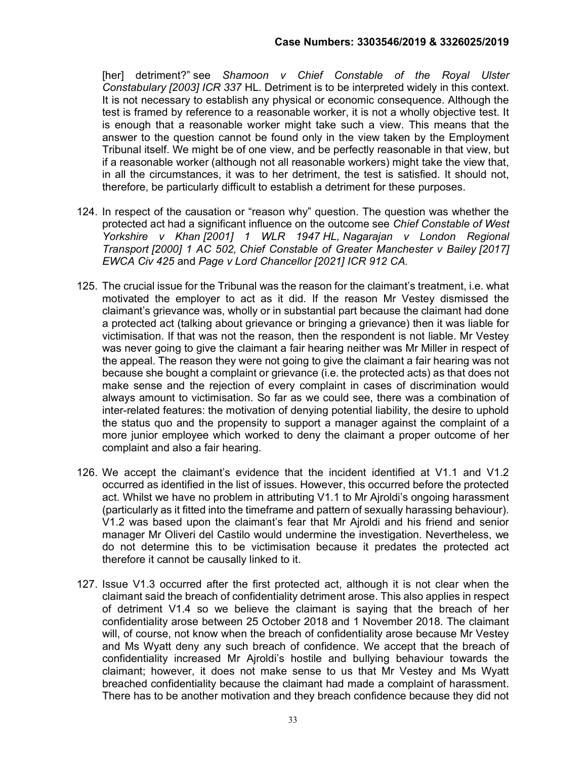[her] detriment?" see Shamoon v Chief Constable of the Royal Ulster Constabulary [2003] ICR 337 HL. Detriment is to be interpreted widely in this context. It is not necessary to establish any physical or economic consequence. Although the test is framed by reference to a reasonable worker, it is not a wholly objective test. It is enough that a reasonable worker might take such a view. This means that the answer to the question cannot be found only in the view taken by the Employment Tribunal itself. We might be of one view, and be perfectly reasonable in that view, but if a reasonable worker (although not all reasonable workers) might take the view that, in all the circumstances, it was to her detriment, the test is satisfied. It should not, therefore, be particularly difficult to establish a detriment for these purposes.

- 124. In respect of the causation or "reason why" question. The question was whether the protected act had a significant influence on the outcome see Chief Constable of West Yorkshire v Khan [2001] 1 WLR 1947 HL, Nagarajan v London Regional Transport [2000] 1 AC 502, Chief Constable of Greater Manchester v Bailey [2017] EWCA Civ 425 and Page v Lord Chancellor [2021] ICR 912 CA.
- 125. The crucial issue for the Tribunal was the reason for the claimant's treatment, i.e. what motivated the employer to act as it did. If the reason Mr Vestey dismissed the claimant's grievance was, wholly or in substantial part because the claimant had done a protected act (talking about grievance or bringing a grievance) then it was liable for victimisation. If that was not the reason, then the respondent is not liable. Mr Vestey was never going to give the claimant a fair hearing neither was Mr Miller in respect of the appeal. The reason they were not going to give the claimant a fair hearing was not because she bought a complaint or grievance (i.e. the protected acts) as that does not make sense and the rejection of every complaint in cases of discrimination would always amount to victimisation. So far as we could see, there was a combination of inter-related features: the motivation of denying potential liability, the desire to uphold the status quo and the propensity to support a manager against the complaint of a more junior employee which worked to deny the claimant a proper outcome of her complaint and also a fair hearing.
- 126. We accept the claimant's evidence that the incident identified at V1.1 and V1.2 occurred as identified in the list of issues. However, this occurred before the protected act. Whilst we have no problem in attributing V1.1 to Mr Ajroldi's ongoing harassment (particularly as it fitted into the timeframe and pattern of sexually harassing behaviour). V1.2 was based upon the claimant's fear that Mr Ajroldi and his friend and senior manager Mr Oliveri del Castilo would undermine the investigation. Nevertheless, we do not determine this to be victimisation because it predates the protected act therefore it cannot be causally linked to it.
- 127. Issue V1.3 occurred after the first protected act, although it is not clear when the claimant said the breach of confidentiality detriment arose. This also applies in respect of detriment V1.4 so we believe the claimant is saying that the breach of her confidentiality arose between 25 October 2018 and 1 November 2018. The claimant will, of course, not know when the breach of confidentiality arose because Mr Vestey and Ms Wyatt deny any such breach of confidence. We accept that the breach of confidentiality increased Mr Ajroldi's hostile and bullying behaviour towards the claimant; however, it does not make sense to us that Mr Vestey and Ms Wyatt breached confidentiality because the claimant had made a complaint of harassment. There has to be another motivation and they breach confidence because they did not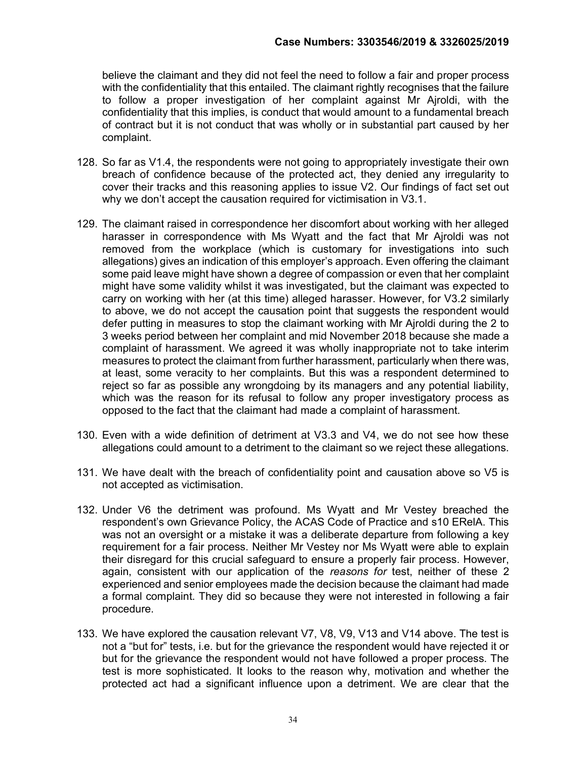believe the claimant and they did not feel the need to follow a fair and proper process with the confidentiality that this entailed. The claimant rightly recognises that the failure to follow a proper investigation of her complaint against Mr Ajroldi, with the confidentiality that this implies, is conduct that would amount to a fundamental breach of contract but it is not conduct that was wholly or in substantial part caused by her complaint.

- 128. So far as V1.4, the respondents were not going to appropriately investigate their own breach of confidence because of the protected act, they denied any irregularity to cover their tracks and this reasoning applies to issue V2. Our findings of fact set out why we don't accept the causation required for victimisation in V3.1.
- 129. The claimant raised in correspondence her discomfort about working with her alleged harasser in correspondence with Ms Wyatt and the fact that Mr Ajroldi was not removed from the workplace (which is customary for investigations into such allegations) gives an indication of this employer's approach. Even offering the claimant some paid leave might have shown a degree of compassion or even that her complaint might have some validity whilst it was investigated, but the claimant was expected to carry on working with her (at this time) alleged harasser. However, for V3.2 similarly to above, we do not accept the causation point that suggests the respondent would defer putting in measures to stop the claimant working with Mr Ajroldi during the 2 to 3 weeks period between her complaint and mid November 2018 because she made a complaint of harassment. We agreed it was wholly inappropriate not to take interim measures to protect the claimant from further harassment, particularly when there was, at least, some veracity to her complaints. But this was a respondent determined to reject so far as possible any wrongdoing by its managers and any potential liability, which was the reason for its refusal to follow any proper investigatory process as opposed to the fact that the claimant had made a complaint of harassment.
- 130. Even with a wide definition of detriment at V3.3 and V4, we do not see how these allegations could amount to a detriment to the claimant so we reject these allegations.
- 131. We have dealt with the breach of confidentiality point and causation above so V5 is not accepted as victimisation.
- 132. Under V6 the detriment was profound. Ms Wyatt and Mr Vestey breached the respondent's own Grievance Policy, the ACAS Code of Practice and s10 ERelA. This was not an oversight or a mistake it was a deliberate departure from following a key requirement for a fair process. Neither Mr Vestey nor Ms Wyatt were able to explain their disregard for this crucial safeguard to ensure a properly fair process. However, again, consistent with our application of the reasons for test, neither of these 2 experienced and senior employees made the decision because the claimant had made a formal complaint. They did so because they were not interested in following a fair procedure.
- 133. We have explored the causation relevant V7, V8, V9, V13 and V14 above. The test is not a "but for" tests, i.e. but for the grievance the respondent would have rejected it or but for the grievance the respondent would not have followed a proper process. The test is more sophisticated. It looks to the reason why, motivation and whether the protected act had a significant influence upon a detriment. We are clear that the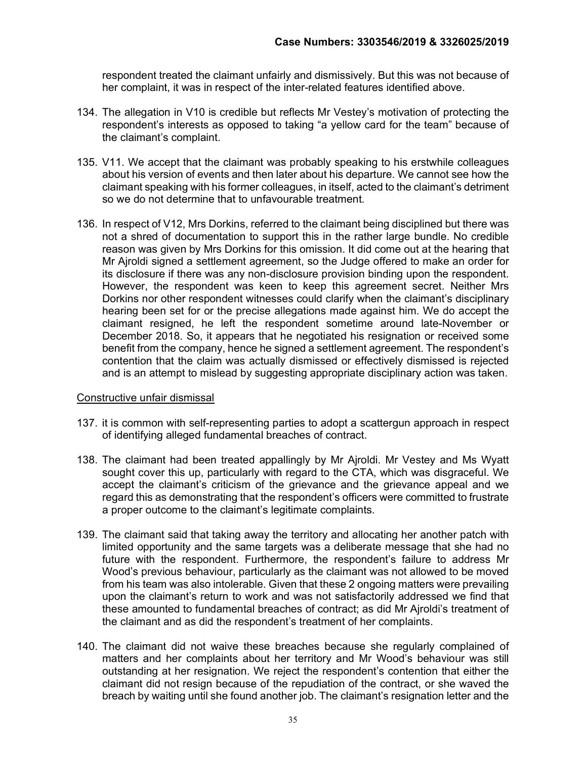respondent treated the claimant unfairly and dismissively. But this was not because of her complaint, it was in respect of the inter-related features identified above.

- 134. The allegation in V10 is credible but reflects Mr Vestey's motivation of protecting the respondent's interests as opposed to taking "a yellow card for the team" because of the claimant's complaint.
- 135. V11. We accept that the claimant was probably speaking to his erstwhile colleagues about his version of events and then later about his departure. We cannot see how the claimant speaking with his former colleagues, in itself, acted to the claimant's detriment so we do not determine that to unfavourable treatment.
- 136. In respect of V12, Mrs Dorkins, referred to the claimant being disciplined but there was not a shred of documentation to support this in the rather large bundle. No credible reason was given by Mrs Dorkins for this omission. It did come out at the hearing that Mr Ajroldi signed a settlement agreement, so the Judge offered to make an order for its disclosure if there was any non-disclosure provision binding upon the respondent. However, the respondent was keen to keep this agreement secret. Neither Mrs Dorkins nor other respondent witnesses could clarify when the claimant's disciplinary hearing been set for or the precise allegations made against him. We do accept the claimant resigned, he left the respondent sometime around late-November or December 2018. So, it appears that he negotiated his resignation or received some benefit from the company, hence he signed a settlement agreement. The respondent's contention that the claim was actually dismissed or effectively dismissed is rejected and is an attempt to mislead by suggesting appropriate disciplinary action was taken.

# Constructive unfair dismissal

- 137. it is common with self-representing parties to adopt a scattergun approach in respect of identifying alleged fundamental breaches of contract.
- 138. The claimant had been treated appallingly by Mr Ajroldi. Mr Vestey and Ms Wyatt sought cover this up, particularly with regard to the CTA, which was disgraceful. We accept the claimant's criticism of the grievance and the grievance appeal and we regard this as demonstrating that the respondent's officers were committed to frustrate a proper outcome to the claimant's legitimate complaints.
- 139. The claimant said that taking away the territory and allocating her another patch with limited opportunity and the same targets was a deliberate message that she had no future with the respondent. Furthermore, the respondent's failure to address Mr Wood's previous behaviour, particularly as the claimant was not allowed to be moved from his team was also intolerable. Given that these 2 ongoing matters were prevailing upon the claimant's return to work and was not satisfactorily addressed we find that these amounted to fundamental breaches of contract; as did Mr Ajroldi's treatment of the claimant and as did the respondent's treatment of her complaints.
- 140. The claimant did not waive these breaches because she regularly complained of matters and her complaints about her territory and Mr Wood's behaviour was still outstanding at her resignation. We reject the respondent's contention that either the claimant did not resign because of the repudiation of the contract, or she waved the breach by waiting until she found another job. The claimant's resignation letter and the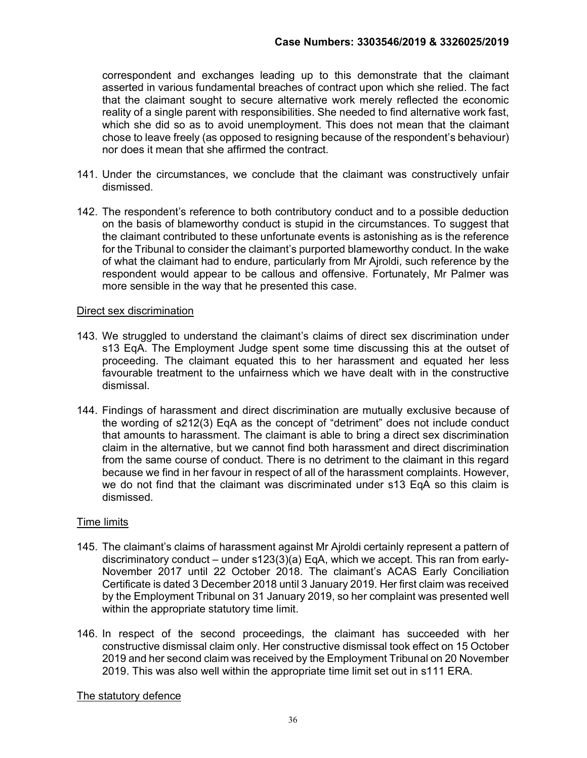correspondent and exchanges leading up to this demonstrate that the claimant asserted in various fundamental breaches of contract upon which she relied. The fact that the claimant sought to secure alternative work merely reflected the economic reality of a single parent with responsibilities. She needed to find alternative work fast, which she did so as to avoid unemployment. This does not mean that the claimant chose to leave freely (as opposed to resigning because of the respondent's behaviour) nor does it mean that she affirmed the contract.

- 141. Under the circumstances, we conclude that the claimant was constructively unfair dismissed.
- 142. The respondent's reference to both contributory conduct and to a possible deduction on the basis of blameworthy conduct is stupid in the circumstances. To suggest that the claimant contributed to these unfortunate events is astonishing as is the reference for the Tribunal to consider the claimant's purported blameworthy conduct. In the wake of what the claimant had to endure, particularly from Mr Ajroldi, such reference by the respondent would appear to be callous and offensive. Fortunately, Mr Palmer was more sensible in the way that he presented this case.

# Direct sex discrimination

- 143. We struggled to understand the claimant's claims of direct sex discrimination under s13 EqA. The Employment Judge spent some time discussing this at the outset of proceeding. The claimant equated this to her harassment and equated her less favourable treatment to the unfairness which we have dealt with in the constructive dismissal.
- 144. Findings of harassment and direct discrimination are mutually exclusive because of the wording of s212(3) EqA as the concept of "detriment" does not include conduct that amounts to harassment. The claimant is able to bring a direct sex discrimination claim in the alternative, but we cannot find both harassment and direct discrimination from the same course of conduct. There is no detriment to the claimant in this regard because we find in her favour in respect of all of the harassment complaints. However, we do not find that the claimant was discriminated under s13 EqA so this claim is dismissed.

# Time limits

- 145. The claimant's claims of harassment against Mr Ajroldi certainly represent a pattern of discriminatory conduct – under s123(3)(a) EqA, which we accept. This ran from early-November 2017 until 22 October 2018. The claimant's ACAS Early Conciliation Certificate is dated 3 December 2018 until 3 January 2019. Her first claim was received by the Employment Tribunal on 31 January 2019, so her complaint was presented well within the appropriate statutory time limit.
- 146. In respect of the second proceedings, the claimant has succeeded with her constructive dismissal claim only. Her constructive dismissal took effect on 15 October 2019 and her second claim was received by the Employment Tribunal on 20 November 2019. This was also well within the appropriate time limit set out in s111 ERA.

# The statutory defence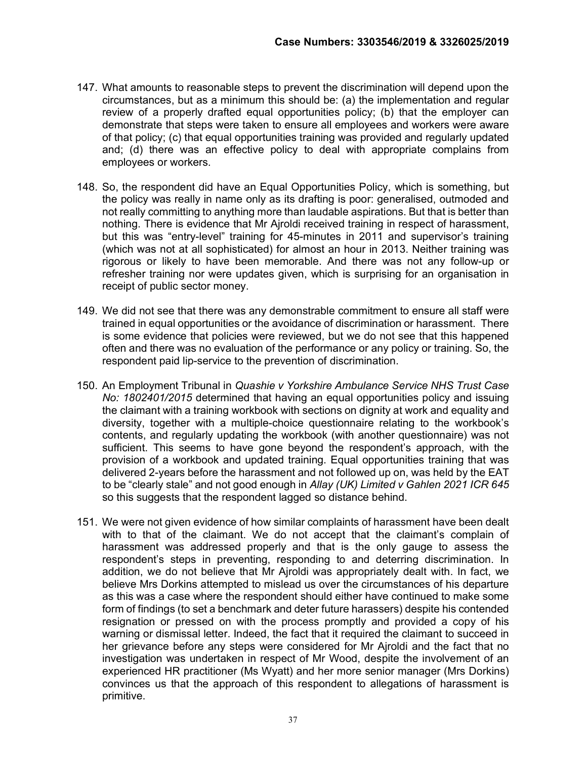- 147. What amounts to reasonable steps to prevent the discrimination will depend upon the circumstances, but as a minimum this should be: (a) the implementation and regular review of a properly drafted equal opportunities policy; (b) that the employer can demonstrate that steps were taken to ensure all employees and workers were aware of that policy; (c) that equal opportunities training was provided and regularly updated and; (d) there was an effective policy to deal with appropriate complains from employees or workers.
- 148. So, the respondent did have an Equal Opportunities Policy, which is something, but the policy was really in name only as its drafting is poor: generalised, outmoded and not really committing to anything more than laudable aspirations. But that is better than nothing. There is evidence that Mr Ajroldi received training in respect of harassment, but this was "entry-level" training for 45-minutes in 2011 and supervisor's training (which was not at all sophisticated) for almost an hour in 2013. Neither training was rigorous or likely to have been memorable. And there was not any follow-up or refresher training nor were updates given, which is surprising for an organisation in receipt of public sector money.
- 149. We did not see that there was any demonstrable commitment to ensure all staff were trained in equal opportunities or the avoidance of discrimination or harassment. There is some evidence that policies were reviewed, but we do not see that this happened often and there was no evaluation of the performance or any policy or training. So, the respondent paid lip-service to the prevention of discrimination.
- 150. An Employment Tribunal in Quashie v Yorkshire Ambulance Service NHS Trust Case No: 1802401/2015 determined that having an equal opportunities policy and issuing the claimant with a training workbook with sections on dignity at work and equality and diversity, together with a multiple-choice questionnaire relating to the workbook's contents, and regularly updating the workbook (with another questionnaire) was not sufficient. This seems to have gone beyond the respondent's approach, with the provision of a workbook and updated training. Equal opportunities training that was delivered 2-years before the harassment and not followed up on, was held by the EAT to be "clearly stale" and not good enough in Allay (UK) Limited v Gahlen 2021 ICR 645 so this suggests that the respondent lagged so distance behind.
- 151. We were not given evidence of how similar complaints of harassment have been dealt with to that of the claimant. We do not accept that the claimant's complain of harassment was addressed properly and that is the only gauge to assess the respondent's steps in preventing, responding to and deterring discrimination. In addition, we do not believe that Mr Ajroldi was appropriately dealt with. In fact, we believe Mrs Dorkins attempted to mislead us over the circumstances of his departure as this was a case where the respondent should either have continued to make some form of findings (to set a benchmark and deter future harassers) despite his contended resignation or pressed on with the process promptly and provided a copy of his warning or dismissal letter. Indeed, the fact that it required the claimant to succeed in her grievance before any steps were considered for Mr Ajroldi and the fact that no investigation was undertaken in respect of Mr Wood, despite the involvement of an experienced HR practitioner (Ms Wyatt) and her more senior manager (Mrs Dorkins) convinces us that the approach of this respondent to allegations of harassment is primitive.